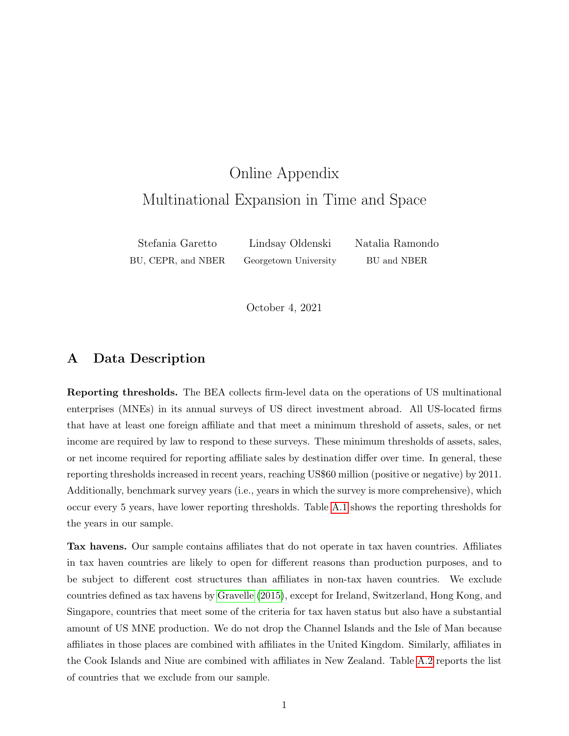# <span id="page-0-0"></span>Online Appendix Multinational Expansion in Time and Space

Stefania Garetto Lindsay Oldenski Natalia Ramondo BU, CEPR, and NBER Georgetown University BU and NBER

October 4, 2021

## A Data Description

Reporting thresholds. The BEA collects firm-level data on the operations of US multinational enterprises (MNEs) in its annual surveys of US direct investment abroad. All US-located firms that have at least one foreign affiliate and that meet a minimum threshold of assets, sales, or net income are required by law to respond to these surveys. These minimum thresholds of assets, sales, or net income required for reporting affiliate sales by destination differ over time. In general, these reporting thresholds increased in recent years, reaching US\$60 million (positive or negative) by 2011. Additionally, benchmark survey years (i.e., years in which the survey is more comprehensive), which occur every 5 years, have lower reporting thresholds. Table [A.1](#page-1-0) shows the reporting thresholds for the years in our sample.

Tax havens. Our sample contains affiliates that do not operate in tax haven countries. Affiliates in tax haven countries are likely to open for different reasons than production purposes, and to be subject to different cost structures than affiliates in non-tax haven countries. We exclude countries defined as tax havens by [Gravelle](#page-24-0) [\(2015\)](#page-24-0), except for Ireland, Switzerland, Hong Kong, and Singapore, countries that meet some of the criteria for tax haven status but also have a substantial amount of US MNE production. We do not drop the Channel Islands and the Isle of Man because affiliates in those places are combined with affiliates in the United Kingdom. Similarly, affiliates in the Cook Islands and Niue are combined with affiliates in New Zealand. Table [A.2](#page-1-1) reports the list of countries that we exclude from our sample.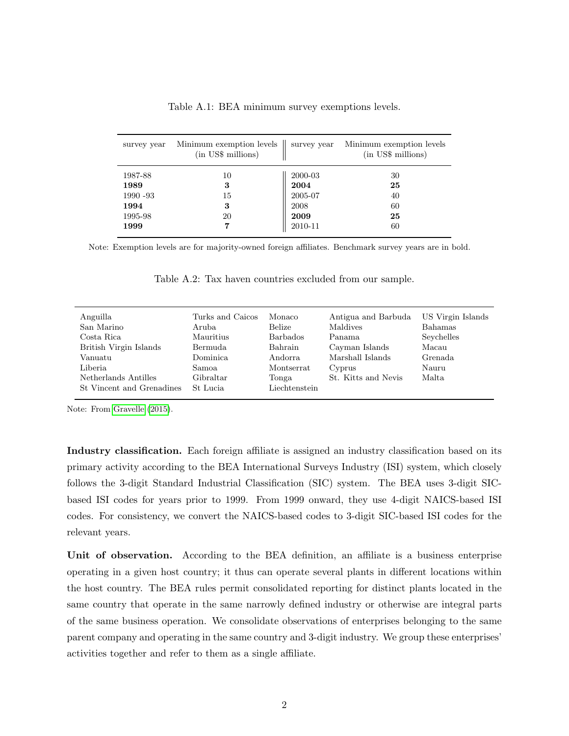<span id="page-1-0"></span>

| survey year | Minimum exemption levels  <br>(in US\$ millions) | survey year | Minimum exemption levels<br>(in US\$ millions) |
|-------------|--------------------------------------------------|-------------|------------------------------------------------|
| 1987-88     | 10                                               | 2000-03     | 30                                             |
| 1989        | 3                                                | 2004        | 25                                             |
| 1990 - 93   | 15                                               | 2005-07     | 40                                             |
| 1994        | 3                                                | 2008        | 60                                             |
| 1995-98     | 20                                               | 2009        | 25                                             |
| 1999        | 7                                                | 2010-11     | 60                                             |

Table A.1: BEA minimum survey exemptions levels.

<span id="page-1-1"></span>Note: Exemption levels are for majority-owned foreign affiliates. Benchmark survey years are in bold.

| Turks and Caicos<br>Aruba<br>Mauritius<br>Bermuda<br>Dominica<br>Samoa.<br>Gibraltar | Monaco<br>Belize<br><b>Barbados</b><br>Bahrain<br>Andorra<br>Montserrat<br>Tonga | Antigua and Barbuda<br>Maldives<br>Panama<br>Cayman Islands<br>Marshall Islands<br>Cyprus<br>St. Kitts and Nevis | US Virgin Islands<br>Bahamas<br>Seychelles<br>Macau<br>Grenada<br>Nauru<br>Malta |
|--------------------------------------------------------------------------------------|----------------------------------------------------------------------------------|------------------------------------------------------------------------------------------------------------------|----------------------------------------------------------------------------------|
| St Lucia                                                                             | Liechtenstein                                                                    |                                                                                                                  |                                                                                  |
|                                                                                      |                                                                                  |                                                                                                                  |                                                                                  |

Table A.2: Tax haven countries excluded from our sample.

Note: From [Gravelle](#page-24-0) [\(2015\)](#page-24-0).

Industry classification. Each foreign affiliate is assigned an industry classification based on its primary activity according to the BEA International Surveys Industry (ISI) system, which closely follows the 3-digit Standard Industrial Classification (SIC) system. The BEA uses 3-digit SICbased ISI codes for years prior to 1999. From 1999 onward, they use 4-digit NAICS-based ISI codes. For consistency, we convert the NAICS-based codes to 3-digit SIC-based ISI codes for the relevant years.

Unit of observation. According to the BEA definition, an affiliate is a business enterprise operating in a given host country; it thus can operate several plants in different locations within the host country. The BEA rules permit consolidated reporting for distinct plants located in the same country that operate in the same narrowly defined industry or otherwise are integral parts of the same business operation. We consolidate observations of enterprises belonging to the same parent company and operating in the same country and 3-digit industry. We group these enterprises' activities together and refer to them as a single affiliate.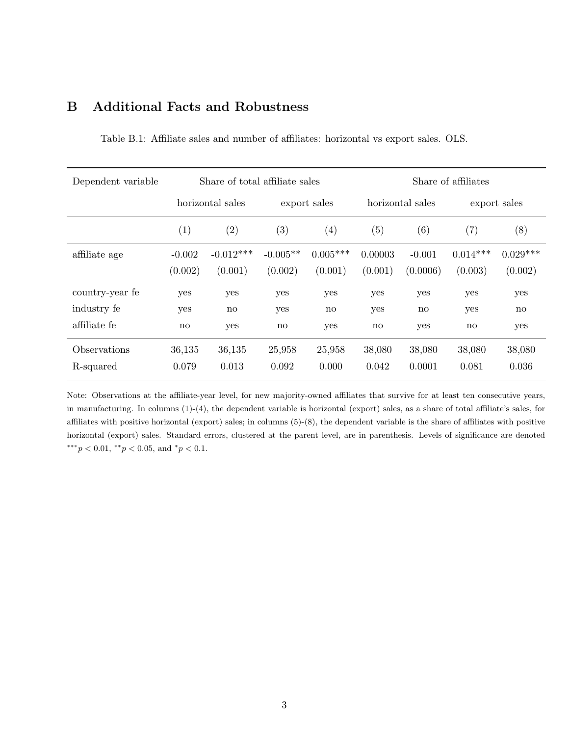| B<br><b>Additional Facts and Robustness</b> |  |
|---------------------------------------------|--|
|---------------------------------------------|--|

| Dependent variable | Share of total affiliate sales |                        |              |                        | Share of affiliates |                        |                   |                        |
|--------------------|--------------------------------|------------------------|--------------|------------------------|---------------------|------------------------|-------------------|------------------------|
|                    |                                | horizontal sales       | export sales |                        | horizontal sales    |                        | export sales      |                        |
|                    | $\left( 1\right)$              | $\left( 2\right)$      | (3)          | (4)                    | (5)                 | (6)                    | $\left( 7\right)$ | (8)                    |
| affiliate age      | $-0.002$                       | $-0.012***$            | $-0.005**$   | $0.005***$             | 0.00003             | $-0.001$               | $0.014***$        | $0.029***$             |
|                    | (0.002)                        | (0.001)                | (0.002)      | (0.001)                | (0.001)             | (0.0006)               | (0.003)           | (0.002)                |
| country-year fe    | yes                            | yes                    | yes          | yes                    | yes                 | yes                    | yes               | yes                    |
| industry fe        | yes                            | $\mathbf{n}\mathbf{o}$ | yes          | $\mathbf{n}\mathbf{o}$ | yes                 | $\mathbf{n}\mathbf{o}$ | yes               | $\mathbf{n}\mathbf{o}$ |
| affiliate fe       | no                             | yes                    | no           | yes                    | no                  | yes                    | no                | yes                    |
| Observations       | 36,135                         | 36,135                 | 25,958       | 25,958                 | 38,080              | 38,080                 | 38,080            | 38,080                 |
| R-squared          | 0.079                          | 0.013                  | 0.092        | 0.000                  | 0.042               | 0.0001                 | 0.081             | 0.036                  |

Table B.1: Affiliate sales and number of affiliates: horizontal vs export sales. OLS.

Note: Observations at the affiliate-year level, for new majority-owned affiliates that survive for at least ten consecutive years, in manufacturing. In columns (1)-(4), the dependent variable is horizontal (export) sales, as a share of total affiliate's sales, for affiliates with positive horizontal (export) sales; in columns (5)-(8), the dependent variable is the share of affiliates with positive horizontal (export) sales. Standard errors, clustered at the parent level, are in parenthesis. Levels of significance are denoted  $***p<sub>0.01</sub>, **p<sub>0.05</sub>, and *p<sub>0.1</sub>.$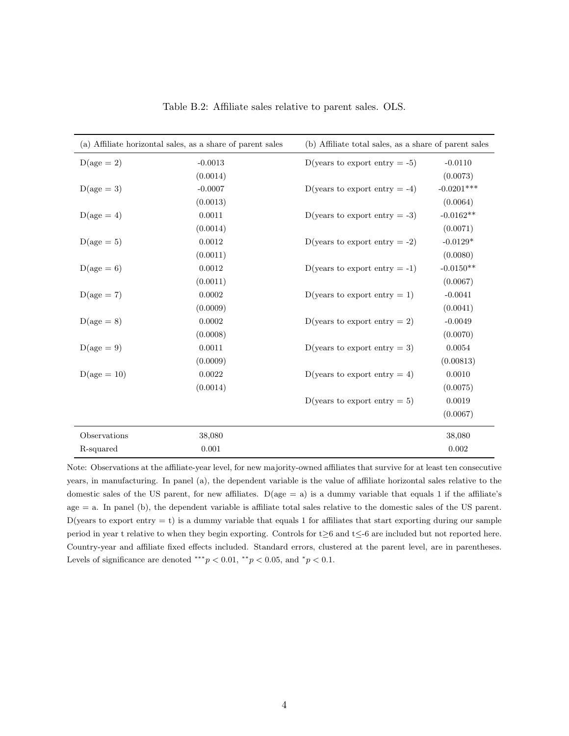|               | (a) Affiliate horizontal sales, as a share of parent sales | (b) Affiliate total sales, as a share of parent sales |              |  |  |
|---------------|------------------------------------------------------------|-------------------------------------------------------|--------------|--|--|
| $D(age = 2)$  | $-0.0013$                                                  | D(years to export entry $= -5$ )                      | $-0.0110$    |  |  |
|               | (0.0014)                                                   |                                                       | (0.0073)     |  |  |
| $D(age = 3)$  | $-0.0007$                                                  | D(years to export entry $= -4$ )                      | $-0.0201***$ |  |  |
|               | (0.0013)                                                   |                                                       | (0.0064)     |  |  |
| $D(age = 4)$  | 0.0011                                                     | D(years to export entry $= -3$ )                      | $-0.0162**$  |  |  |
|               | (0.0014)                                                   |                                                       | (0.0071)     |  |  |
| $D(age = 5)$  | 0.0012                                                     | D(years to export entry $= -2$ )                      | $-0.0129*$   |  |  |
|               | (0.0011)                                                   |                                                       | (0.0080)     |  |  |
| $D(age = 6)$  | $0.0012\,$                                                 | D(years to export entry $= -1$ )                      | $-0.0150**$  |  |  |
|               | (0.0011)                                                   |                                                       | (0.0067)     |  |  |
| $D(age = 7)$  | 0.0002                                                     | D(years to export entry $= 1$ )                       | $-0.0041$    |  |  |
|               | (0.0009)                                                   |                                                       | (0.0041)     |  |  |
| $D(age = 8)$  | 0.0002                                                     | D(years to export entry $= 2$ )                       | $-0.0049$    |  |  |
|               | (0.0008)                                                   |                                                       | (0.0070)     |  |  |
| $D(age = 9)$  | 0.0011                                                     | D(years to export entry $= 3$ )                       | 0.0054       |  |  |
|               | (0.0009)                                                   |                                                       | (0.00813)    |  |  |
| $D(age = 10)$ | 0.0022                                                     | D(years to export entry $= 4$ )                       | 0.0010       |  |  |
|               | (0.0014)                                                   |                                                       | (0.0075)     |  |  |
|               |                                                            | D(years to export entry $= 5$ )                       | 0.0019       |  |  |
|               |                                                            |                                                       | (0.0067)     |  |  |
| Observations  | 38,080                                                     |                                                       | 38,080       |  |  |
| R-squared     | 0.001                                                      |                                                       | 0.002        |  |  |

Table B.2: Affiliate sales relative to parent sales. OLS.

Note: Observations at the affiliate-year level, for new majority-owned affiliates that survive for at least ten consecutive years, in manufacturing. In panel (a), the dependent variable is the value of affiliate horizontal sales relative to the domestic sales of the US parent, for new affiliates. D(age = a) is a dummy variable that equals 1 if the affiliate's age = a. In panel (b), the dependent variable is affiliate total sales relative to the domestic sales of the US parent. D(years to export entry  $=$  t) is a dummy variable that equals 1 for affiliates that start exporting during our sample period in year t relative to when they begin exporting. Controls for t≥6 and t≤-6 are included but not reported here. Country-year and affiliate fixed effects included. Standard errors, clustered at the parent level, are in parentheses. Levels of significance are denoted \*\*\* $p < 0.01$ , \*\* $p < 0.05$ , and \* $p < 0.1$ .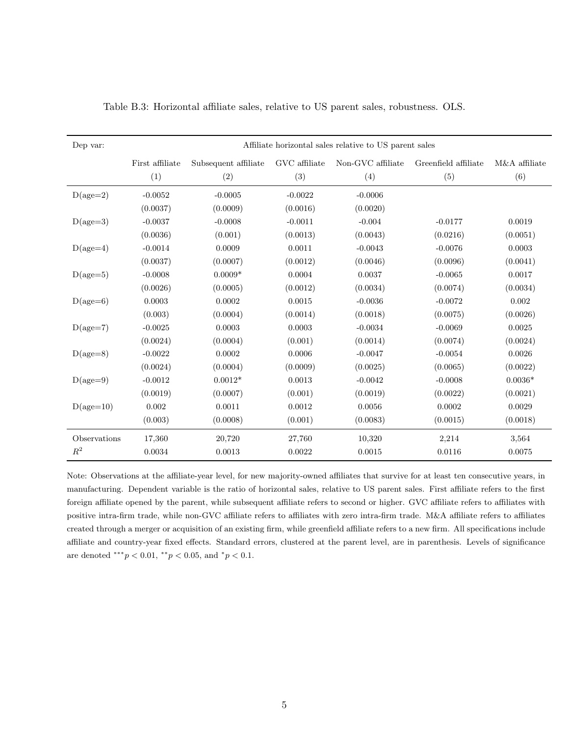| Dep var:     | Affiliate horizontal sales relative to US parent sales |                      |               |                   |                      |               |  |  |
|--------------|--------------------------------------------------------|----------------------|---------------|-------------------|----------------------|---------------|--|--|
|              | First affiliate                                        | Subsequent affiliate | GVC affiliate | Non-GVC affiliate | Greenfield affiliate | M&A affiliate |  |  |
|              | (1)                                                    | (2)                  | (3)           | (4)               | (5)                  | (6)           |  |  |
| $D(age=2)$   | $-0.0052$                                              | $-0.0005$            | $-0.0022$     | $-0.0006$         |                      |               |  |  |
|              | (0.0037)                                               | (0.0009)             | (0.0016)      | (0.0020)          |                      |               |  |  |
| $D(age=3)$   | $-0.0037$                                              | $-0.0008$            | $-0.0011$     | $-0.004$          | $-0.0177$            | 0.0019        |  |  |
|              | (0.0036)                                               | (0.001)              | (0.0013)      | (0.0043)          | (0.0216)             | (0.0051)      |  |  |
| $D(age=4)$   | $-0.0014$                                              | 0.0009               | 0.0011        | $-0.0043$         | $-0.0076$            | 0.0003        |  |  |
|              | (0.0037)                                               | (0.0007)             | (0.0012)      | (0.0046)          | (0.0096)             | (0.0041)      |  |  |
| $D(age=5)$   | $-0.0008$                                              | $0.0009*$            | 0.0004        | 0.0037            | $-0.0065$            | 0.0017        |  |  |
|              | (0.0026)                                               | (0.0005)             | (0.0012)      | (0.0034)          | (0.0074)             | (0.0034)      |  |  |
| $D(age=6)$   | 0.0003                                                 | 0.0002               | 0.0015        | $-0.0036$         | $-0.0072$            | 0.002         |  |  |
|              | (0.003)                                                | (0.0004)             | (0.0014)      | (0.0018)          | (0.0075)             | (0.0026)      |  |  |
| $D(age=7)$   | $-0.0025$                                              | 0.0003               | 0.0003        | $-0.0034$         | $-0.0069$            | 0.0025        |  |  |
|              | (0.0024)                                               | (0.0004)             | (0.001)       | (0.0014)          | (0.0074)             | (0.0024)      |  |  |
| $D(age=8)$   | $-0.0022$                                              | 0.0002               | 0.0006        | $-0.0047$         | $-0.0054$            | 0.0026        |  |  |
|              | (0.0024)                                               | (0.0004)             | (0.0009)      | (0.0025)          | (0.0065)             | (0.0022)      |  |  |
| $D(age=9)$   | $-0.0012$                                              | $0.0012*$            | 0.0013        | $-0.0042$         | $-0.0008$            | $0.0036*$     |  |  |
|              | (0.0019)                                               | (0.0007)             | (0.001)       | (0.0019)          | (0.0022)             | (0.0021)      |  |  |
| $D(age=10)$  | 0.002                                                  | 0.0011               | 0.0012        | 0.0056            | 0.0002               | 0.0029        |  |  |
|              | (0.003)                                                | (0.0008)             | (0.001)       | (0.0083)          | (0.0015)             | (0.0018)      |  |  |
| Observations | 17,360                                                 | 20,720               | 27,760        | 10,320            | 2,214                | 3,564         |  |  |
| $R^2$        | 0.0034                                                 | 0.0013               | 0.0022        | 0.0015            | 0.0116               | 0.0075        |  |  |

|  |  |  |  |  |  |  |  | Table B.3: Horizontal affiliate sales, relative to US parent sales, robustness. OLS. |  |
|--|--|--|--|--|--|--|--|--------------------------------------------------------------------------------------|--|
|--|--|--|--|--|--|--|--|--------------------------------------------------------------------------------------|--|

Note: Observations at the affiliate-year level, for new majority-owned affiliates that survive for at least ten consecutive years, in manufacturing. Dependent variable is the ratio of horizontal sales, relative to US parent sales. First affiliate refers to the first foreign affiliate opened by the parent, while subsequent affiliate refers to second or higher. GVC affiliate refers to affiliates with positive intra-firm trade, while non-GVC affiliate refers to affiliates with zero intra-firm trade. M&A affiliate refers to affiliates created through a merger or acquisition of an existing firm, while greenfield affiliate refers to a new firm. All specifications include affiliate and country-year fixed effects. Standard errors, clustered at the parent level, are in parenthesis. Levels of significance are denoted \*\*\* $p < 0.01$ , \*\* $p < 0.05$ , and  $p < 0.1$ .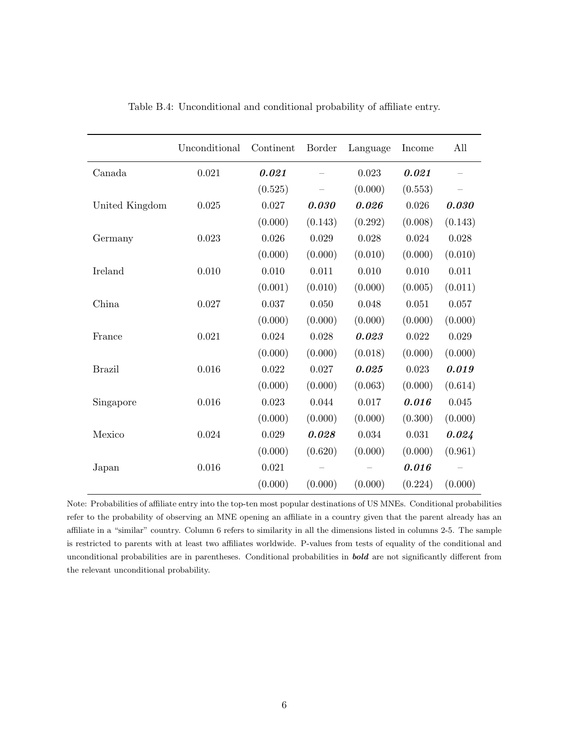|                | Unconditional | Continent | Border  | Language  | Income  | All     |
|----------------|---------------|-----------|---------|-----------|---------|---------|
| Canada         | 0.021         | 0.021     |         | 0.023     | 0.021   |         |
|                |               | (0.525)   |         | (0.000)   | (0.553) |         |
| United Kingdom | 0.025         | 0.027     | 0.030   | 0.026     | 0.026   | 0.030   |
|                |               | (0.000)   | (0.143) | (0.292)   | (0.008) | (0.143) |
| Germany        | 0.023         | 0.026     | 0.029   | 0.028     | 0.024   | 0.028   |
|                |               | (0.000)   | (0.000) | (0.010)   | (0.000) | (0.010) |
| Ireland        | 0.010         | 0.010     | 0.011   | 0.010     | 0.010   | 0.011   |
|                |               | (0.001)   | (0.010) | (0.000)   | (0.005) | (0.011) |
| China          | 0.027         | 0.037     | 0.050   | 0.048     | 0.051   | 0.057   |
|                |               | (0.000)   | (0.000) | (0.000)   | (0.000) | (0.000) |
| France         | 0.021         | 0.024     | 0.028   | 0.023     | 0.022   | 0.029   |
|                |               | (0.000)   | (0.000) | (0.018)   | (0.000) | (0.000) |
| <b>Brazil</b>  | 0.016         | 0.022     | 0.027   | 0.025     | 0.023   | 0.019   |
|                |               | (0.000)   | (0.000) | (0.063)   | (0.000) | (0.614) |
| Singapore      | 0.016         | 0.023     | 0.044   | $0.017\,$ | 0.016   | 0.045   |
|                |               | (0.000)   | (0.000) | (0.000)   | (0.300) | (0.000) |
| Mexico         | 0.024         | 0.029     | 0.028   | 0.034     | 0.031   | 0.024   |
|                |               | (0.000)   | (0.620) | (0.000)   | (0.000) | (0.961) |
| Japan          | 0.016         | 0.021     |         |           | 0.016   |         |
|                |               | (0.000)   | (0.000) | (0.000)   | (0.224) | (0.000) |

Table B.4: Unconditional and conditional probability of affiliate entry.

Note: Probabilities of affiliate entry into the top-ten most popular destinations of US MNEs. Conditional probabilities refer to the probability of observing an MNE opening an affiliate in a country given that the parent already has an affiliate in a "similar" country. Column 6 refers to similarity in all the dimensions listed in columns 2-5. The sample is restricted to parents with at least two affiliates worldwide. P-values from tests of equality of the conditional and unconditional probabilities are in parentheses. Conditional probabilities in bold are not significantly different from the relevant unconditional probability.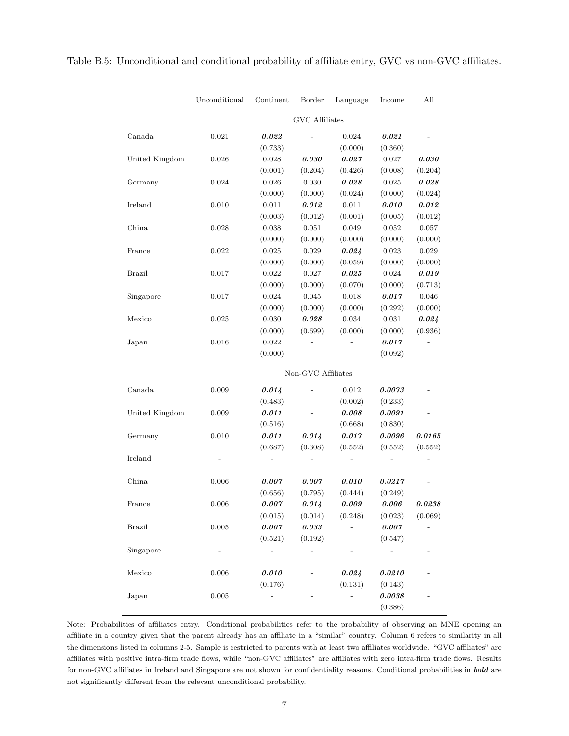|                | Unconditional | Continent             | Border             | Language | Income    | All     |  |  |
|----------------|---------------|-----------------------|--------------------|----------|-----------|---------|--|--|
|                |               | <b>GVC</b> Affiliates |                    |          |           |         |  |  |
| Canada         | 0.021         | 0.022                 |                    | 0.024    | 0.021     |         |  |  |
|                |               | (0.733)               |                    | (0.000)  | (0.360)   |         |  |  |
| United Kingdom | 0.026         | 0.028                 | 0.030              | 0.027    | 0.027     | 0.030   |  |  |
|                |               | (0.001)               | (0.204)            | (0.426)  | (0.008)   | (0.204) |  |  |
| Germany        | 0.024         | 0.026                 | 0.030              | 0.028    | 0.025     | 0.028   |  |  |
|                |               | (0.000)               | (0.000)            | (0.024)  | (0.000)   | (0.024) |  |  |
| Ireland        | 0.010         | 0.011                 | 0.012              | 0.011    | 0.010     | 0.012   |  |  |
|                |               | (0.003)               | (0.012)            | (0.001)  | (0.005)   | (0.012) |  |  |
| China          | 0.028         | 0.038                 | 0.051              | 0.049    | 0.052     | 0.057   |  |  |
|                |               | (0.000)               | (0.000)            | (0.000)  | (0.000)   | (0.000) |  |  |
| France         | 0.022         | 0.025                 | 0.029              | 0.024    | 0.023     | 0.029   |  |  |
|                |               | (0.000)               | (0.000)            | (0.059)  | (0.000)   | (0.000) |  |  |
| <b>Brazil</b>  | 0.017         | 0.022                 | 0.027              | 0.025    | 0.024     | 0.019   |  |  |
|                |               | (0.000)               | (0.000)            | (0.070)  | (0.000)   | (0.713) |  |  |
| Singapore      | 0.017         | 0.024                 | 0.045              | 0.018    | 0.017     | 0.046   |  |  |
|                |               | (0.000)               | (0.000)            | (0.000)  | (0.292)   | (0.000) |  |  |
| Mexico         | 0.025         | 0.030                 | 0.028              | 0.034    | 0.031     | 0.024   |  |  |
|                |               | (0.000)               | (0.699)            | (0.000)  | (0.000)   | (0.936) |  |  |
| Japan          | 0.016         | 0.022                 |                    |          | 0.017     |         |  |  |
|                |               | (0.000)               |                    |          | (0.092)   |         |  |  |
|                |               |                       | Non-GVC Affiliates |          |           |         |  |  |
| Canada         | 0.009         | 0.014                 |                    | 0.012    | 0.0073    |         |  |  |
|                |               | (0.483)               |                    | (0.002)  | (0.233)   |         |  |  |
| United Kingdom | 0.009         | 0.011                 |                    | 0.008    | 0.0091    |         |  |  |
|                |               | (0.516)               |                    | (0.668)  | (0.830)   |         |  |  |
| Germany        | 0.010         | 0.011                 | 0.014              | 0.017    | 0.0096    | 0.0165  |  |  |
|                |               | (0.687)               | (0.308)            | (0.552)  | (0.552)   | (0.552) |  |  |
| Ireland        |               |                       |                    |          |           |         |  |  |
| China          | 0.006         | 0.007                 | 0.007              | 0.010    | 0.0217    |         |  |  |
|                |               | (0.656)               | (0.795)            | (0.444)  | (0.249)   |         |  |  |
| France         | 0.006         | 0.007                 | 0.014              | 0.009    | 0.006     | 0.0238  |  |  |
|                |               | (0.015)               | (0.014)            | (0.248)  | (0.023)   | (0.069) |  |  |
| <b>Brazil</b>  | $0.005\,$     | $0.007\,$             | $0.033\,$          |          | $0.007\,$ |         |  |  |
|                |               | (0.521)               | (0.192)            |          | (0.547)   |         |  |  |
| Singapore      |               |                       |                    |          |           |         |  |  |
| Mexico         | $0.006\,$     | $0.010\,$             |                    | 0.024    | 0.0210    |         |  |  |
|                |               | (0.176)               |                    | (0.131)  | (0.143)   |         |  |  |
| Japan          | $\,0.005\,$   |                       |                    |          | 0.0038    |         |  |  |
|                |               |                       |                    |          | (0.386)   |         |  |  |
|                |               |                       |                    |          |           |         |  |  |

Table B.5: Unconditional and conditional probability of affiliate entry, GVC vs non-GVC affiliates.

Note: Probabilities of affiliates entry. Conditional probabilities refer to the probability of observing an MNE opening an affiliate in a country given that the parent already has an affiliate in a "similar" country. Column 6 refers to similarity in all the dimensions listed in columns 2-5. Sample is restricted to parents with at least two affiliates worldwide. "GVC affiliates" are affiliates with positive intra-firm trade flows, while "non-GVC affiliates" are affiliates with zero intra-firm trade flows. Results for non-GVC affiliates in Ireland and Singapore are not shown for confidentiality reasons. Conditional probabilities in bold are not significantly different from the relevant unconditional probability.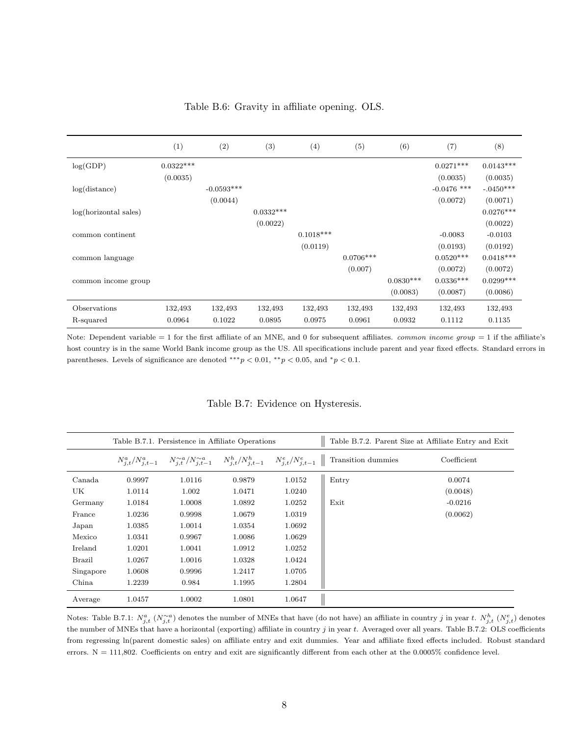|                       | (1)         | (2)          | (3)         | (4)         | (5)         | (6)         | (7)           | (8)         |
|-----------------------|-------------|--------------|-------------|-------------|-------------|-------------|---------------|-------------|
| log(GDP)              | $0.0322***$ |              |             |             |             |             | $0.0271***$   | $0.0143***$ |
|                       | (0.0035)    |              |             |             |             |             | (0.0035)      | (0.0035)    |
| log(distance)         |             | $-0.0593***$ |             |             |             |             | $-0.0476$ *** | $-.0450***$ |
|                       |             | (0.0044)     |             |             |             |             | (0.0072)      | (0.0071)    |
| log(horizontal sales) |             |              | $0.0332***$ |             |             |             |               | $0.0276***$ |
|                       |             |              | (0.0022)    |             |             |             |               | (0.0022)    |
| common continent      |             |              |             | $0.1018***$ |             |             | $-0.0083$     | $-0.0103$   |
|                       |             |              |             | (0.0119)    |             |             | (0.0193)      | (0.0192)    |
| common language       |             |              |             |             | $0.0706***$ |             | $0.0520***$   | $0.0418***$ |
|                       |             |              |             |             | (0.007)     |             | (0.0072)      | (0.0072)    |
| common income group   |             |              |             |             |             | $0.0830***$ | $0.0336***$   | $0.0299***$ |
|                       |             |              |             |             |             | (0.0083)    | (0.0087)      | (0.0086)    |
| Observations          | 132,493     | 132,493      | 132,493     | 132,493     | 132,493     | 132,493     | 132,493       | 132,493     |
| R-squared             | 0.0964      | 0.1022       | 0.0895      | 0.0975      | 0.0961      | 0.0932      | 0.1112        | 0.1135      |

Table B.6: Gravity in affiliate opening. OLS.

Note: Dependent variable  $= 1$  for the first affiliate of an MNE, and 0 for subsequent affiliates. *common income group*  $= 1$  if the affiliate's host country is in the same World Bank income group as the US. All specifications include parent and year fixed effects. Standard errors in parentheses. Levels of significance are denoted \*\*\* $p < 0.01$ , \*\* $p < 0.05$ , and \* $p < 0.1$ .

|  |  |  |  | Table B.7: Evidence on Hysteresis. |  |
|--|--|--|--|------------------------------------|--|
|--|--|--|--|------------------------------------|--|

|               |        | Table B.7.1. Persistence in Affiliate Operations |        |        | Table B.7.2. Parent Size at Affiliate Entry and Exit                                                                             |             |
|---------------|--------|--------------------------------------------------|--------|--------|----------------------------------------------------------------------------------------------------------------------------------|-------------|
|               |        |                                                  |        |        | $N_{j,t}^a/N_{j,t-1}^a$ $N_{j,t}^{\sim a}/N_{j,t-1}^{\sim a}$ $N_{j,t}^h/N_{j,t-1}^h$ $N_{i,t}^e/N_{j,t-1}^e$ Transition dummies | Coefficient |
| Canada        | 0.9997 | 1.0116                                           | 0.9879 | 1.0152 | Entry                                                                                                                            | 0.0074      |
| UK            | 1.0114 | 1.002                                            | 1.0471 | 1.0240 |                                                                                                                                  | (0.0048)    |
| Germany       | 1.0184 | 1.0008                                           | 1.0892 | 1.0252 | Exit                                                                                                                             | $-0.0216$   |
| France        | 1.0236 | 0.9998                                           | 1.0679 | 1.0319 |                                                                                                                                  | (0.0062)    |
| Japan         | 1.0385 | 1.0014                                           | 1.0354 | 1.0692 |                                                                                                                                  |             |
| Mexico        | 1.0341 | 0.9967                                           | 1.0086 | 1.0629 |                                                                                                                                  |             |
| Ireland       | 1.0201 | 1.0041                                           | 1.0912 | 1.0252 |                                                                                                                                  |             |
| <b>Brazil</b> | 1.0267 | 1.0016                                           | 1.0328 | 1.0424 |                                                                                                                                  |             |
| Singapore     | 1.0608 | 0.9996                                           | 1.2417 | 1.0705 |                                                                                                                                  |             |
| China         | 1.2239 | 0.984                                            | 1.1995 | 1.2804 |                                                                                                                                  |             |
| Average       | 1.0457 | 1.0002                                           | 1.0801 | 1.0647 |                                                                                                                                  |             |

Notes: Table B.7.1:  $N_{j,t}^a$  ( $N_{j,t}^{\sim a}$ ) denotes the number of MNEs that have (do not have) an affiliate in country j in year t.  $N_{j,t}^h$  ( $N_{j,t}^e$ ) denotes the number of MNEs that have a horizontal (exporting) affiliate in country j in year t. Averaged over all years. Table B.7.2: OLS coefficients from regressing ln(parent domestic sales) on affiliate entry and exit dummies. Year and affiliate fixed effects included. Robust standard errors.  $N = 111,802$ . Coefficients on entry and exit are significantly different from each other at the 0.0005% confidence level.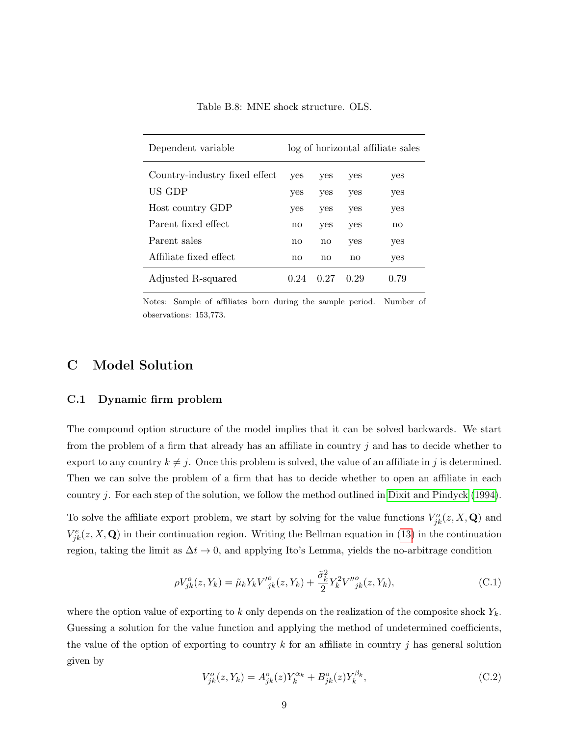| Dependent variable            | log of horizontal affiliate sales |      |      |      |  |  |
|-------------------------------|-----------------------------------|------|------|------|--|--|
| Country-industry fixed effect | yes                               | yes  | yes  | yes  |  |  |
| US GDP                        | yes                               | yes  | yes  | yes  |  |  |
| Host country GDP              | yes                               | yes  | yes  | yes  |  |  |
| Parent fixed effect.          | no                                | yes  | yes  | no   |  |  |
| Parent sales                  | no                                | no   | yes  | yes  |  |  |
| Affiliate fixed effect        | no                                | no   | no   | yes  |  |  |
| Adjusted R-squared            | 0.24                              | 0.27 | 0.29 | 0.79 |  |  |

Table B.8: MNE shock structure. OLS.

Notes: Sample of affiliates born during the sample period. Number of observations: 153,773.

## C Model Solution

#### C.1 Dynamic firm problem

The compound option structure of the model implies that it can be solved backwards. We start from the problem of a firm that already has an affiliate in country  $j$  and has to decide whether to export to any country  $k \neq j$ . Once this problem is solved, the value of an affiliate in j is determined. Then we can solve the problem of a firm that has to decide whether to open an affiliate in each country j. For each step of the solution, we follow the method outlined in [Dixit and Pindyck](#page-24-1) [\(1994\)](#page-24-1).

To solve the affiliate export problem, we start by solving for the value functions  $V_{jk}^o(z, X, \mathbf{Q})$  and  $V_{jk}^e(z, X, \mathbf{Q})$  in their continuation region. Writing the Bellman equation in [\(13\)](#page-0-0) in the continuation region, taking the limit as  $\Delta t \to 0$ , and applying Ito's Lemma, yields the no-arbitrage condition

$$
\rho V_{jk}^o(z, Y_k) = \tilde{\mu}_k Y_k V_{jk}^o(z, Y_k) + \frac{\tilde{\sigma}_k^2}{2} Y_k^2 V_{jk}^{\prime o}(z, Y_k), \tag{C.1}
$$

where the option value of exporting to k only depends on the realization of the composite shock  $Y_k$ . Guessing a solution for the value function and applying the method of undetermined coefficients, the value of the option of exporting to country k for an affiliate in country j has general solution given by

$$
V_{jk}^{o}(z, Y_{k}) = A_{jk}^{o}(z)Y_{k}^{\alpha_{k}} + B_{jk}^{o}(z)Y_{k}^{\beta_{k}},
$$
\n(C.2)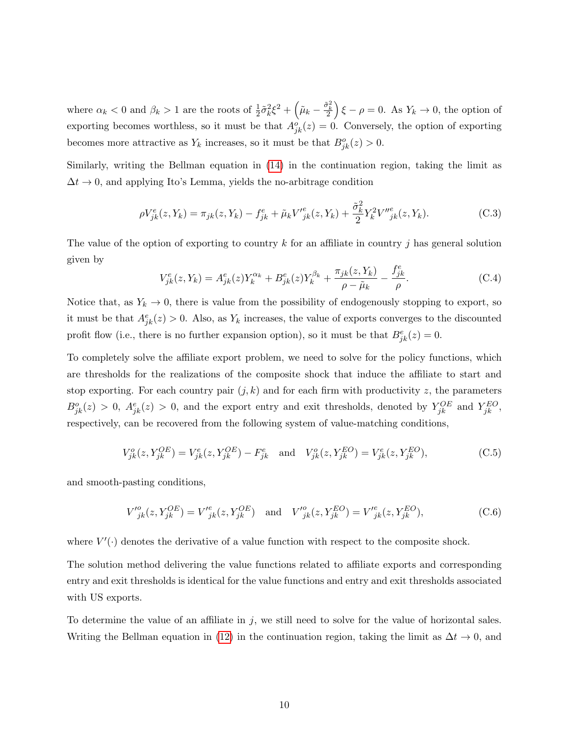where  $\alpha_k < 0$  and  $\beta_k > 1$  are the roots of  $\frac{1}{2}\tilde{\sigma}_k^2 \xi^2 + \left(\tilde{\mu}_k - \frac{\tilde{\sigma}_k^2}{2}\right)\xi - \rho = 0$ . As  $Y_k \to 0$ , the option of exporting becomes worthless, so it must be that  $A_{jk}^o(z) = 0$ . Conversely, the option of exporting becomes more attractive as  $Y_k$  increases, so it must be that  $B_{jk}^o(z) > 0$ .

Similarly, writing the Bellman equation in [\(14\)](#page-11-0) in the continuation region, taking the limit as  $\Delta t \rightarrow 0$ , and applying Ito's Lemma, yields the no-arbitrage condition

$$
\rho V_{jk}^e(z, Y_k) = \pi_{jk}(z, Y_k) - f_{jk}^e + \tilde{\mu}_k V_{jk}^e(z, Y_k) + \frac{\tilde{\sigma}_k^2}{2} Y_k^2 V_{jk}^{\prime\prime e}(z, Y_k). \tag{C.3}
$$

The value of the option of exporting to country k for an affiliate in country j has general solution given by

$$
V_{jk}^{e}(z, Y_{k}) = A_{jk}^{e}(z)Y_{k}^{\alpha_{k}} + B_{jk}^{e}(z)Y_{k}^{\beta_{k}} + \frac{\pi_{jk}(z, Y_{k})}{\rho - \tilde{\mu}_{k}} - \frac{f_{jk}^{e}}{\rho}.
$$
 (C.4)

Notice that, as  $Y_k \to 0$ , there is value from the possibility of endogenously stopping to export, so it must be that  $A_{jk}^e(z) > 0$ . Also, as  $Y_k$  increases, the value of exports converges to the discounted profit flow (i.e., there is no further expansion option), so it must be that  $B_{jk}^e(z) = 0$ .

To completely solve the affiliate export problem, we need to solve for the policy functions, which are thresholds for the realizations of the composite shock that induce the affiliate to start and stop exporting. For each country pair  $(j, k)$  and for each firm with productivity z, the parameters  $B_{jk}^o(z) > 0$ ,  $A_{jk}^e(z) > 0$ , and the export entry and exit thresholds, denoted by  $Y_{jk}^{OE}$  and  $Y_{jk}^{EO}$ , respectively, can be recovered from the following system of value-matching conditions,

<span id="page-9-0"></span>
$$
V_{jk}^{o}(z, Y_{jk}^{OE}) = V_{jk}^{e}(z, Y_{jk}^{OE}) - F_{jk}^{e} \text{ and } V_{jk}^{o}(z, Y_{jk}^{EO}) = V_{jk}^{e}(z, Y_{jk}^{EO}),
$$
 (C.5)

and smooth-pasting conditions,

<span id="page-9-1"></span>
$$
V_{jk}^{\prime o}(z, Y_{jk}^{OE}) = V_{jk}^{\prime e}(z, Y_{jk}^{OE}) \text{ and } V_{jk}^{\prime o}(z, Y_{jk}^{EO}) = V_{jk}^{\prime e}(z, Y_{jk}^{EO}),
$$
 (C.6)

where  $V'(\cdot)$  denotes the derivative of a value function with respect to the composite shock.

The solution method delivering the value functions related to affiliate exports and corresponding entry and exit thresholds is identical for the value functions and entry and exit thresholds associated with US exports.

To determine the value of an affiliate in j, we still need to solve for the value of horizontal sales. Writing the Bellman equation in [\(12\)](#page-11-1) in the continuation region, taking the limit as  $\Delta t \to 0$ , and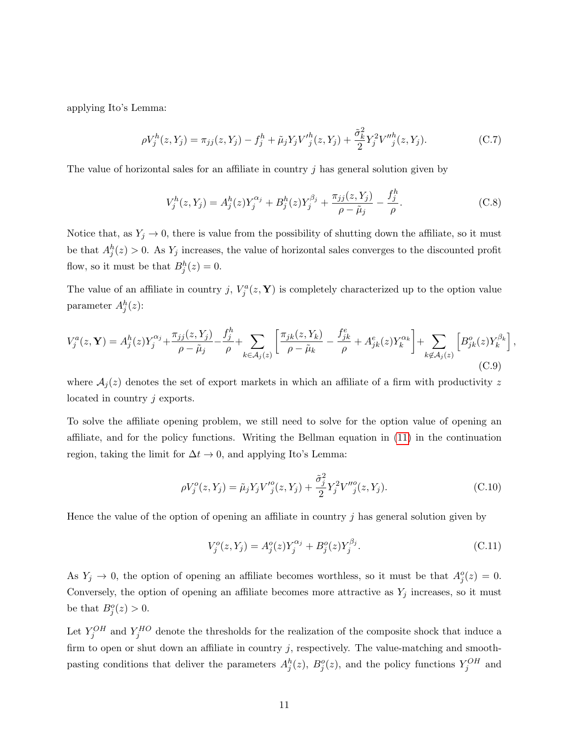applying Ito's Lemma:

$$
\rho V_j^h(z, Y_j) = \pi_{jj}(z, Y_j) - f_j^h + \tilde{\mu}_j Y_j V_j^h(z, Y_j) + \frac{\tilde{\sigma}_k^2}{2} Y_j^2 V_j^h(z, Y_j). \tag{C.7}
$$

The value of horizontal sales for an affiliate in country  $j$  has general solution given by

$$
V_j^h(z, Y_j) = A_j^h(z)Y_j^{\alpha_j} + B_j^h(z)Y_j^{\beta_j} + \frac{\pi_{jj}(z, Y_j)}{\rho - \tilde{\mu}_j} - \frac{f_j^h}{\rho}.
$$
 (C.8)

Notice that, as  $Y_j \to 0$ , there is value from the possibility of shutting down the affiliate, so it must be that  $A_j^h(z) > 0$ . As  $Y_j$  increases, the value of horizontal sales converges to the discounted profit flow, so it must be that  $B_j^h(z) = 0$ .

The value of an affiliate in country j,  $V_j^a(z, Y)$  is completely characterized up to the option value parameter  $A_j^h(z)$ :

$$
V_j^a(z, \mathbf{Y}) = A_j^h(z) Y_j^{\alpha_j} + \frac{\pi_{jj}(z, Y_j)}{\rho - \tilde{\mu}_j} - \frac{f_j^h}{\rho} + \sum_{k \in \mathcal{A}_j(z)} \left[ \frac{\pi_{jk}(z, Y_k)}{\rho - \tilde{\mu}_k} - \frac{f_{jk}^e}{\rho} + A_{jk}^e(z) Y_k^{\alpha_k} \right] + \sum_{k \notin \mathcal{A}_j(z)} \left[ B_{jk}^o(z) Y_k^{\beta_k} \right],
$$
\n(C.9)

where  $A_i(z)$  denotes the set of export markets in which an affiliate of a firm with productivity z located in country j exports.

To solve the affiliate opening problem, we still need to solve for the option value of opening an affiliate, and for the policy functions. Writing the Bellman equation in [\(11\)](#page-10-0) in the continuation region, taking the limit for  $\Delta t \to 0$ , and applying Ito's Lemma:

$$
\rho V_j^o(z, Y_j) = \tilde{\mu}_j Y_j V_j^o(z, Y_j) + \frac{\tilde{\sigma}_j^2}{2} Y_j^2 V_j^o(z, Y_j). \tag{C.10}
$$

Hence the value of the option of opening an affiliate in country  $j$  has general solution given by

<span id="page-10-0"></span>
$$
V_j^o(z, Y_j) = A_j^o(z) Y_j^{\alpha_j} + B_j^o(z) Y_j^{\beta_j}.
$$
\n(C.11)

As  $Y_j \to 0$ , the option of opening an affiliate becomes worthless, so it must be that  $A_j^o(z) = 0$ . Conversely, the option of opening an affiliate becomes more attractive as  $Y_j$  increases, so it must be that  $B_j^o(z) > 0$ .

Let  $Y_j^{OH}$  and  $Y_j^{HO}$  denote the thresholds for the realization of the composite shock that induce a firm to open or shut down an affiliate in country  $j$ , respectively. The value-matching and smoothpasting conditions that deliver the parameters  $A_j^h(z)$ ,  $B_j^o(z)$ , and the policy functions  $Y_j^{OH}$  and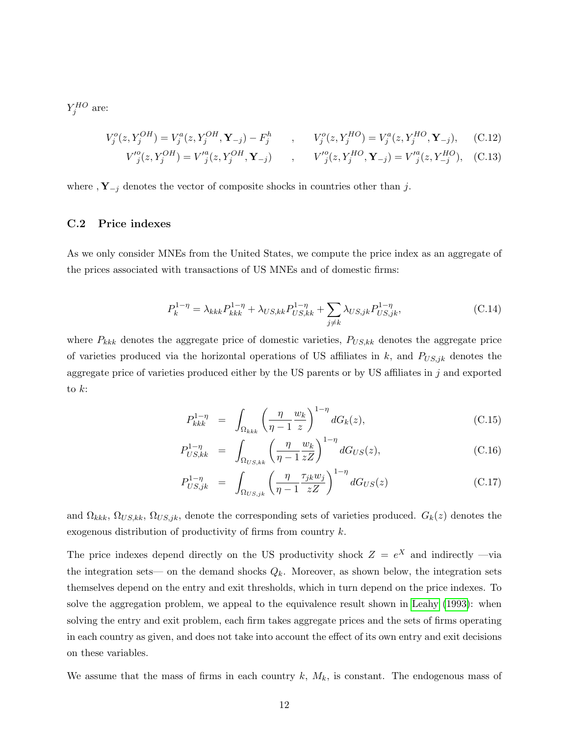$Y_j^{HO}$  are:

<span id="page-11-1"></span>
$$
V_j^o(z, Y_j^{OH}) = V_j^a(z, Y_j^{OH}, \mathbf{Y}_{-j}) - F_j^h \qquad , \qquad V_j^o(z, Y_j^{HO}) = V_j^a(z, Y_j^{HO}, \mathbf{Y}_{-j}), \qquad (C.12)
$$

$$
V'^o_j(z, Y^{OH}_j) = V'^a_j(z, Y^{OH}_j, \mathbf{Y}_{-j}) \qquad , \qquad V'^o_j(z, Y^{HO}_j, \mathbf{Y}_{-j}) = V'^a_j(z, Y^{HO}_{-j}), \quad \text{(C.13)}
$$

where ,  $Y_{-j}$  denotes the vector of composite shocks in countries other than j.

#### C.2 Price indexes

As we only consider MNEs from the United States, we compute the price index as an aggregate of the prices associated with transactions of US MNEs and of domestic firms:

<span id="page-11-0"></span>
$$
P_k^{1-\eta} = \lambda_{kkk} P_{kkk}^{1-\eta} + \lambda_{US,kk} P_{US,kk}^{1-\eta} + \sum_{j \neq k} \lambda_{US,jk} P_{US,jk}^{1-\eta}, \tag{C.14}
$$

where  $P_{kkk}$  denotes the aggregate price of domestic varieties,  $P_{US,kk}$  denotes the aggregate price of varieties produced via the horizontal operations of US affiliates in k, and  $P_{US,jk}$  denotes the aggregate price of varieties produced either by the US parents or by US affiliates in  $j$  and exported to  $k$ :

$$
P_{kkk}^{1-\eta} = \int_{\Omega_{kkk}} \left(\frac{\eta}{\eta-1} \frac{w_k}{z}\right)^{1-\eta} dG_k(z), \tag{C.15}
$$

$$
P_{US,kk}^{1-\eta} = \int_{\Omega_{US,kk}} \left(\frac{\eta}{\eta - 1} \frac{w_k}{zZ}\right)^{1-\eta} dG_{US}(z), \tag{C.16}
$$

$$
P_{US,jk}^{1-\eta} = \int_{\Omega_{US,jk}} \left( \frac{\eta}{\eta - 1} \frac{\tau_{jk} w_j}{zZ} \right)^{1-\eta} dG_{US}(z) \tag{C.17}
$$

and  $\Omega_{kkk}, \Omega_{US,kk}, \Omega_{US,jk}$ , denote the corresponding sets of varieties produced.  $G_k(z)$  denotes the exogenous distribution of productivity of firms from country k.

The price indexes depend directly on the US productivity shock  $Z = e^X$  and indirectly —via the integration sets— on the demand shocks  $Q_k$ . Moreover, as shown below, the integration sets themselves depend on the entry and exit thresholds, which in turn depend on the price indexes. To solve the aggregation problem, we appeal to the equivalence result shown in [Leahy](#page-24-2) [\(1993\)](#page-24-2): when solving the entry and exit problem, each firm takes aggregate prices and the sets of firms operating in each country as given, and does not take into account the effect of its own entry and exit decisions on these variables.

We assume that the mass of firms in each country  $k$ ,  $M_k$ , is constant. The endogenous mass of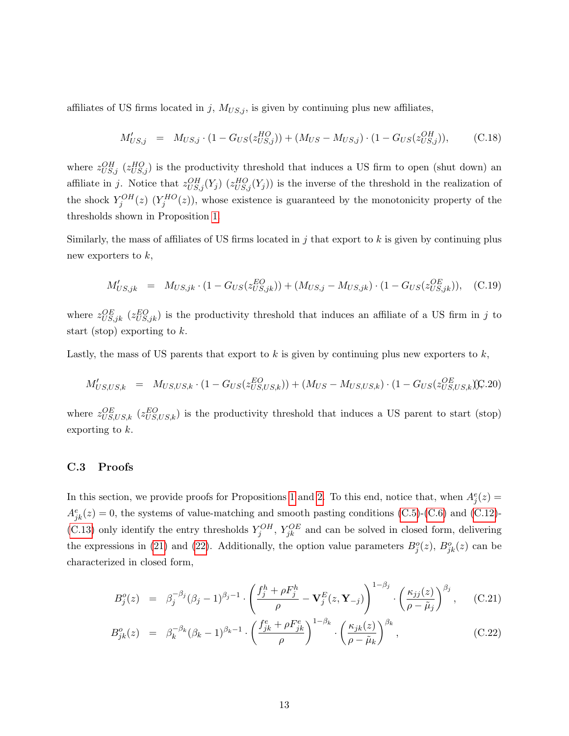affiliates of US firms located in j,  $M_{US,j}$ , is given by continuing plus new affiliates,

$$
M'_{US,j} = M_{US,j} \cdot (1 - G_{US}(z_{US,j}^{HO})) + (M_{US} - M_{US,j}) \cdot (1 - G_{US}(z_{US,j}^{OH})), \tag{C.18}
$$

where  $z_{US,j}^{OH}$  ( $z_{US,j}^{HO}$ ) is the productivity threshold that induces a US firm to open (shut down) an affiliate in j. Notice that  $z_{US,j}^{OH}(Y_j)$   $(z_{US,j}^{HO}(Y_j))$  is the inverse of the threshold in the realization of the shock  $Y_j^{OH}(z)$   $(Y_j^{HO}(z))$ , whose existence is guaranteed by the monotonicity property of the thresholds shown in Proposition [1.](#page-0-0)

Similarly, the mass of affiliates of US firms located in  $j$  that export to  $k$  is given by continuing plus new exporters to  $k$ ,

$$
M'_{US,jk} = M_{US,jk} \cdot (1 - G_{US}(z_{US,jk}^{EO})) + (M_{US,j} - M_{US,jk}) \cdot (1 - G_{US}(z_{US,jk}^{OE})), \quad (C.19)
$$

where  $z_{US,jk}^{OE}$  ( $z_{US,jk}^{EO}$ ) is the productivity threshold that induces an affiliate of a US firm in j to start (stop) exporting to  $k$ .

Lastly, the mass of US parents that export to  $k$  is given by continuing plus new exporters to  $k$ ,

$$
M'_{US, US, k} = M_{US, US, k} \cdot (1 - G_{US}(z_{US, US, k}^{EO})) + (M_{US} - M_{US, US, k}) \cdot (1 - G_{US}(z_{US, US, k}^{OE})) \cdot (20)
$$

where  $z_{US,US,k}^{OE}$  ( $z_{US,US,k}^{EO}$ ) is the productivity threshold that induces a US parent to start (stop) exporting to k.

#### C.3 Proofs

In this section, we provide proofs for Propositions [1](#page-0-0) and [2.](#page-0-0) To this end, notice that, when  $A_j^e(z) =$  $A_{jk}^e(z) = 0$ , the systems of value-matching and smooth pasting conditions [\(C.5\)](#page-9-0)-[\(C.6\)](#page-9-1) and [\(C.12\)](#page-11-1)-[\(C.13\)](#page-11-1) only identify the entry thresholds  $Y_j^{OH}$ ,  $Y_{jk}^{OE}$  and can be solved in closed form, delivering the expressions in [\(21\)](#page-12-0) and [\(22\)](#page-12-0). Additionally, the option value parameters  $B<sub>j</sub><sup>o</sup>(z)$ ,  $B<sub>jk</sub><sup>o</sup>(z)$  can be characterized in closed form,

<span id="page-12-0"></span>
$$
B_j^o(z) = \beta_j^{-\beta_j} (\beta_j - 1)^{\beta_j - 1} \cdot \left( \frac{f_j^h + \rho F_j^h}{\rho} - \mathbf{V}_j^E(z, \mathbf{Y}_{-j}) \right)^{1 - \beta_j} \cdot \left( \frac{\kappa_{jj}(z)}{\rho - \tilde{\mu}_j} \right)^{\beta_j}, \quad (C.21)
$$

$$
B_{jk}^{o}(z) = \beta_k^{-\beta_k} (\beta_k - 1)^{\beta_k - 1} \cdot \left( \frac{f_{jk}^{e} + \rho F_{jk}^{e}}{\rho} \right)^{1 - \beta_k} \cdot \left( \frac{\kappa_{jk}(z)}{\rho - \tilde{\mu}_k} \right)^{\beta_k}, \tag{C.22}
$$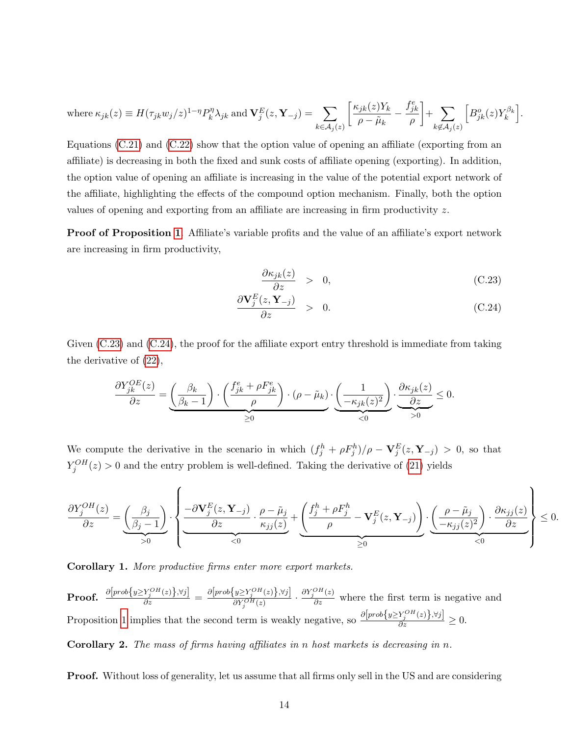$$
\text{where }\kappa_{jk}(z)\equiv H(\tau_{jk}w_j/z)^{1-\eta}P_k^{\eta}\lambda_{jk}\text{ and }\mathbf{V}^E_j(z,\mathbf{Y}_{-j})=\sum_{k\in\mathcal{A}_j(z)}\bigg[\frac{\kappa_{jk}(z)Y_k}{\rho-\tilde{\mu}_k}-\frac{f^e_{jk}}{\rho}\bigg]+\sum_{k\not\in\mathcal{A}_j(z)}\Big[B^o_{jk}(z)Y^{\beta_k}_k\Big].
$$

Equations  $(C.21)$  and  $(C.22)$  show that the option value of opening an affiliate (exporting from an affiliate) is decreasing in both the fixed and sunk costs of affiliate opening (exporting). In addition, the option value of opening an affiliate is increasing in the value of the potential export network of the affiliate, highlighting the effects of the compound option mechanism. Finally, both the option values of opening and exporting from an affiliate are increasing in firm productivity z.

Proof of Proposition [1](#page-0-0). Affiliate's variable profits and the value of an affiliate's export network are increasing in firm productivity,

<span id="page-13-0"></span>
$$
\frac{\partial \kappa_{jk}(z)}{\partial z} > 0, \tag{C.23}
$$

$$
\frac{\partial \mathbf{V}_j^E(z, \mathbf{Y}_{-j})}{\partial z} > 0. \tag{C.24}
$$

Given  $(C.23)$  and  $(C.24)$ , the proof for the affiliate export entry threshold is immediate from taking the derivative of [\(22\)](#page-12-0),

$$
\frac{\partial Y_{jk}^{OE}(z)}{\partial z} = \underbrace{\left(\frac{\beta_k}{\beta_k - 1}\right) \cdot \left(\frac{f_{jk}^e + \rho F_{jk}^e}{\rho}\right) \cdot (\rho - \tilde{\mu}_k)}_{\geq 0} \cdot \underbrace{\left(\frac{1}{-\kappa_{jk}(z)^2}\right)}_{\lt 0} \cdot \underbrace{\frac{\partial \kappa_{jk}(z)}{\partial z}}_{\gt 0} \leq 0.
$$

We compute the derivative in the scenario in which  $(f_j^h + \rho F_j^h)/\rho - \mathbf{V}_j^E(z, \mathbf{Y}_{-j}) > 0$ , so that  $Y_j^{OH}(z) > 0$  and the entry problem is well-defined. Taking the derivative of [\(21\)](#page-12-0) yields

$$
\frac{\partial Y_j^{OH}(z)}{\partial z} = \underbrace{\left(\frac{\beta_j}{\beta_j - 1}\right)}_{>0} \cdot \left\{\underbrace{\frac{-\partial \mathbf{V}_j^E(z, \mathbf{Y}_{-j})}{\partial z} \cdot \frac{\rho - \tilde{\mu}_j}{\kappa_{jj}(z)}}_{<0} + \underbrace{\left(\frac{f_j^h + \rho F_j^h}{\rho} - \mathbf{V}_j^E(z, \mathbf{Y}_{-j})\right)}_{\geq 0} \cdot \underbrace{\left(\frac{\rho - \tilde{\mu}_j}{-\kappa_{jj}(z)^2}\right) \cdot \frac{\partial \kappa_{jj}(z)}{\partial z}}_{<0}\right\} \leq 0.
$$

Corollary 1. More productive firms enter more export markets.

 $\textbf{Proof.} \hspace{0.2cm} \frac{\partial \big[ prob\{ y \geq Y_j^{OH}(z) \}, \forall j \big]}{\partial z} = \frac{\partial \big[ prob\{ y \geq Y_j^{OH}(z) \}, \forall j \big]}{\partial Y_j^{OH}(z)}$  $\frac{\partial Y_j^{OH}(z)}{\partial Y_j^{OH}(z)} \cdot \frac{\partial Y_j^{OH}(z)}{\partial z}$  where the first term is negative and Proposition [1](#page-0-0) implies that the second term is weakly negative, so  $\frac{\partial [prob\{y \ge Y_j^{OH}(z)\}, \forall j]}{\partial z} \ge 0$ .

**Corollary 2.** The mass of firms having affiliates in n host markets is decreasing in n.

Proof. Without loss of generality, let us assume that all firms only sell in the US and are considering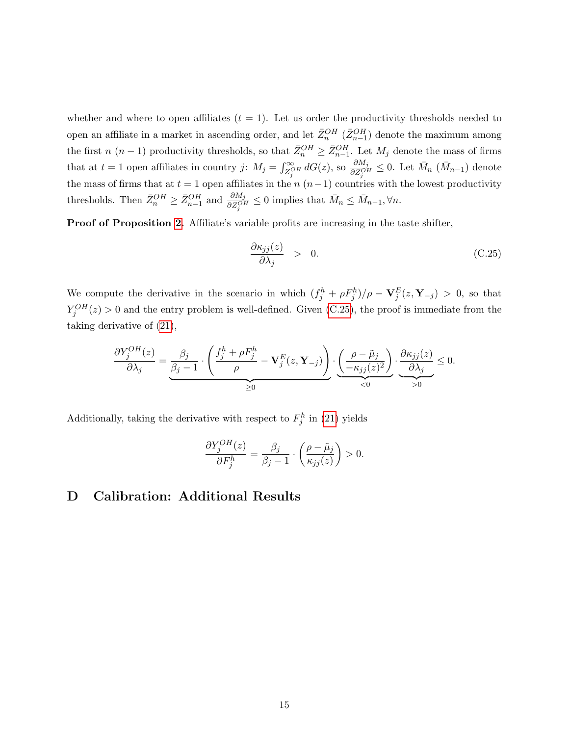whether and where to open affiliates  $(t = 1)$ . Let us order the productivity thresholds needed to open an affiliate in a market in ascending order, and let  $\bar{Z}_{n}^{OH}$  ( $\bar{Z}_{n-1}^{OH}$ ) denote the maximum among the first  $n (n-1)$  productivity thresholds, so that  $\bar{Z}_{n}^{OH} \geq \bar{Z}_{n-1}^{OH}$ . Let  $M_j$  denote the mass of firms that at  $t = 1$  open affiliates in country j:  $M_j = \int_{Z_j^{\circ}H}^{\infty} dG(z)$ , so  $\frac{\partial M_j}{\partial Z_j^{\circ H}} \leq 0$ . Let  $\bar{M}_n$   $(\bar{M}_{n-1})$  denote the mass of firms that at  $t = 1$  open affiliates in the n  $(n-1)$  countries with the lowest productivity thresholds. Then  $\bar{Z}_{n}^{OH} \geq \bar{Z}_{n-1}^{OH}$  and  $\frac{\partial M_j}{\partial Z_j^{OH}} \leq 0$  implies that  $\bar{M}_n \leq \bar{M}_{n-1}, \forall n$ .

Proof of Proposition [2.](#page-0-0) Affiliate's variable profits are increasing in the taste shifter,

<span id="page-14-0"></span>
$$
\frac{\partial \kappa_{jj}(z)}{\partial \lambda_j} > 0. \tag{C.25}
$$

We compute the derivative in the scenario in which  $(f_j^h + \rho F_j^h)/\rho - \mathbf{V}_j^E(z, \mathbf{Y}_{-j}) > 0$ , so that  $Y_j^{OH}(z) > 0$  and the entry problem is well-defined. Given [\(C.25\)](#page-14-0), the proof is immediate from the taking derivative of [\(21\)](#page-12-0),

$$
\frac{\partial Y_j^{OH}(z)}{\partial \lambda_j} = \underbrace{\frac{\beta_j}{\beta_j - 1} \cdot \left( \frac{f_j^h + \rho F_j^h}{\rho} - \mathbf{V}_j^E(z, \mathbf{Y}_{-j}) \right)}_{\geq 0} \cdot \underbrace{\left( \frac{\rho - \tilde{\mu}_j}{-\kappa_{jj}(z)^2} \right)}_{\lt 0} \cdot \underbrace{\frac{\partial \kappa_{jj}(z)}{\partial \lambda_j}}_{> 0} \leq 0.
$$

Additionally, taking the derivative with respect to  $F_j^h$  in [\(21\)](#page-12-0) yields

$$
\frac{\partial Y_j^{OH}(z)}{\partial F_j^h} = \frac{\beta_j}{\beta_j - 1} \cdot \left(\frac{\rho - \tilde{\mu}_j}{\kappa_{jj}(z)}\right) > 0.
$$

### D Calibration: Additional Results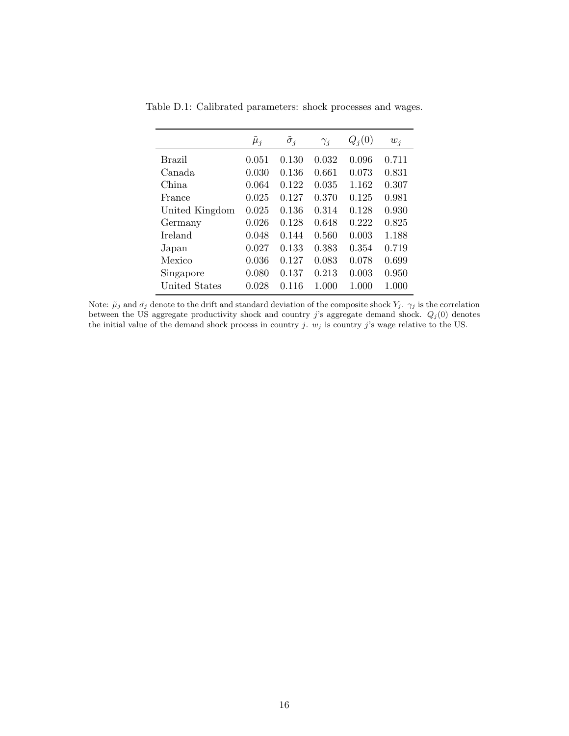| $w_i$ |
|-------|
|       |
| 0.711 |
| 0.831 |
| 0.307 |
| 0.981 |
| 0.930 |
| 0.825 |
| 1.188 |
| 0.719 |
| 0.699 |
| 0.950 |
| 1.000 |
|       |

Table D.1: Calibrated parameters: shock processes and wages.

Note:  $\tilde{\mu}_j$  and  $\tilde{\sigma}_j$  denote to the drift and standard deviation of the composite shock  $Y_j$ .  $\gamma_j$  is the correlation between the US aggregate productivity shock and country j's aggregate demand shock.  $Q_j(0)$  denotes the initial value of the demand shock process in country j.  $w_j$  is country j's wage relative to the US.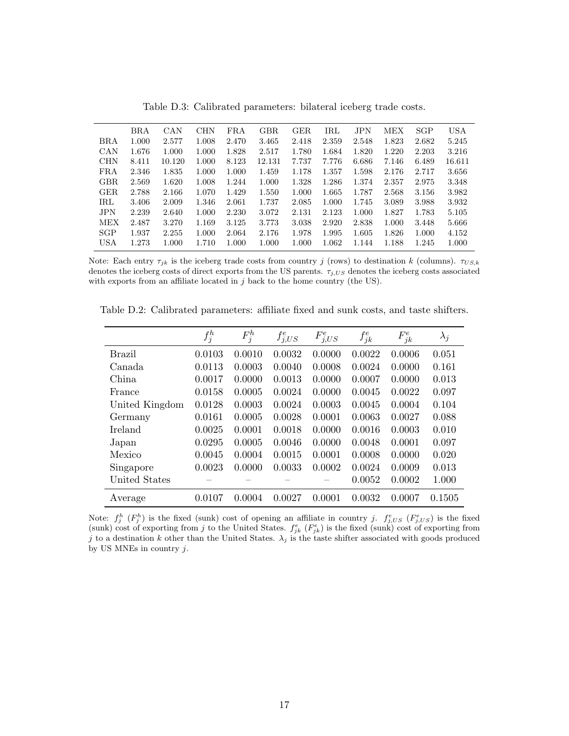|            | BRA   | CAN    | <b>CHN</b> | $_{\rm FRA}$ | <b>GBR</b> | GER.  | IRL   | <b>JPN</b> | <b>MEX</b> | SGP   | <b>USA</b> |
|------------|-------|--------|------------|--------------|------------|-------|-------|------------|------------|-------|------------|
| BRA        | 1.000 | 2.577  | 1.008      | 2.470        | 3.465      | 2.418 | 2.359 | 2.548      | 1.823      | 2.682 | 5.245      |
| CAN        | 1.676 | 1.000  | 1.000      | 1.828        | 2.517      | 1.780 | 1.684 | 1.820      | 1.220      | 2.203 | 3.216      |
| <b>CHN</b> | 8.411 | 10.120 | 1.000      | 8.123        | 12.131     | 7.737 | 7.776 | 6.686      | 7.146      | 6.489 | 16.611     |
| FRA        | 2.346 | 1.835  | 1.000      | 1.000        | 1.459      | 1.178 | 1.357 | 1.598      | 2.176      | 2.717 | 3.656      |
| <b>GBR</b> | 2.569 | 1.620  | 1.008      | 1.244        | 1.000      | 1.328 | 1.286 | 1.374      | 2.357      | 2.975 | 3.348      |
| GER.       | 2.788 | 2.166  | 1.070      | 1.429        | 1.550      | 1.000 | 1.665 | 1.787      | 2.568      | 3.156 | 3.982      |
| IRL        | 3.406 | 2.009  | 1.346      | 2.061        | 1.737      | 2.085 | 1.000 | 1.745      | 3.089      | 3.988 | 3.932      |
| <b>JPN</b> | 2.239 | 2.640  | 1.000      | 2.230        | 3.072      | 2.131 | 2.123 | 1.000      | 1.827      | 1.783 | 5.105      |
| MEX        | 2.487 | 3.270  | 1.169      | 3.125        | 3.773      | 3.038 | 2.920 | 2.838      | 1.000      | 3.448 | 5.666      |
| SGP        | 1.937 | 2.255  | 1.000      | 2.064        | 2.176      | 1.978 | 1.995 | 1.605      | 1.826      | 1.000 | 4.152      |
| USA        | 1.273 | 1.000  | 1.710      | 1.000        | 1.000      | 1.000 | 1.062 | 1.144      | 1.188      | 1.245 | 1.000      |

Table D.3: Calibrated parameters: bilateral iceberg trade costs.

Note: Each entry  $\tau_{jk}$  is the iceberg trade costs from country j (rows) to destination k (columns).  $\tau_{US,k}$ denotes the iceberg costs of direct exports from the US parents.  $\tau_{j,US}$  denotes the iceberg costs associated with exports from an affiliate located in  $j$  back to the home country (the US).

|                | $f_j^h$ | $F_j^h$ | $f_{j,US}^e$ | $F_{j,US}^e$ | $f_{jk}^e$ | $F_{jk}^e$ | $\lambda_j$ |
|----------------|---------|---------|--------------|--------------|------------|------------|-------------|
| <b>Brazil</b>  | 0.0103  | 0.0010  | 0.0032       | 0.0000       | 0.0022     | 0.0006     | 0.051       |
| Canada         | 0.0113  | 0.0003  | 0.0040       | 0.0008       | 0.0024     | 0.0000     | 0.161       |
| China          | 0.0017  | 0.0000  | 0.0013       | 0.0000       | 0.0007     | 0.0000     | 0.013       |
| France         | 0.0158  | 0.0005  | 0.0024       | 0.0000       | 0.0045     | 0.0022     | 0.097       |
| United Kingdom | 0.0128  | 0.0003  | 0.0024       | 0.0003       | 0.0045     | 0.0004     | 0.104       |
| Germany        | 0.0161  | 0.0005  | 0.0028       | 0.0001       | 0.0063     | 0.0027     | 0.088       |
| <b>Ireland</b> | 0.0025  | 0.0001  | 0.0018       | 0.0000       | 0.0016     | 0.0003     | 0.010       |
| Japan          | 0.0295  | 0.0005  | 0.0046       | 0.0000       | 0.0048     | 0.0001     | 0.097       |
| Mexico         | 0.0045  | 0.0004  | 0.0015       | 0.0001       | 0.0008     | 0.0000     | 0.020       |
| Singapore      | 0.0023  | 0.0000  | 0.0033       | 0.0002       | 0.0024     | 0.0009     | 0.013       |
| United States  |         |         |              |              | 0.0052     | 0.0002     | 1.000       |
| Average        | 0.0107  | 0.0004  | 0.0027       | 0.0001       | 0.0032     | 0.0007     | 0.1505      |

Table D.2: Calibrated parameters: affiliate fixed and sunk costs, and taste shifters.

Note:  $f_j^h$  ( $F_j^h$ ) is the fixed (sunk) cost of opening an affiliate in country j.  $f_{j,US}^e$  ( $F_{j,US}^e$ ) is the fixed (sunk) cost of exporting from j to the United States.  $f_{jk}^e$  ( $F_{jk}^e$ ) is the fixed (sunk) cost of exporting from j to a destination k other than the United States.  $\lambda_j$  is the taste shifter associated with goods produced by US MNEs in country  $j.$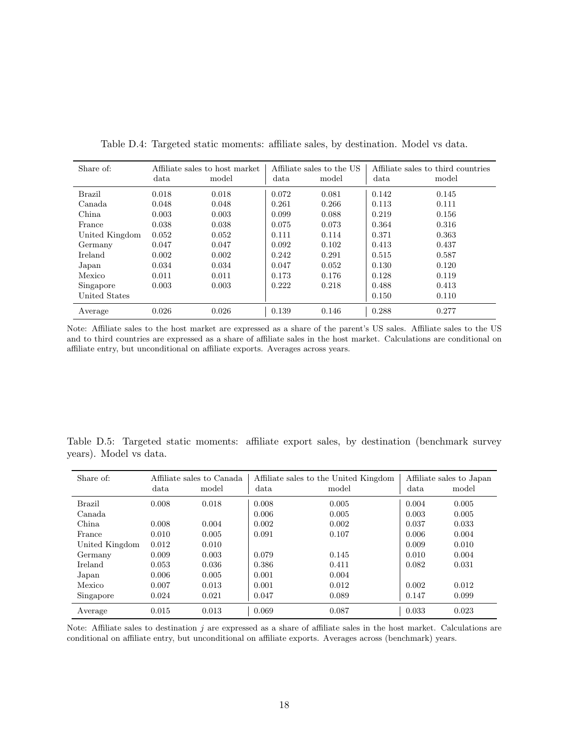| Share of:      |       | Affiliate sales to host market |       | Affiliate sales to the US |       | Affiliate sales to third countries |
|----------------|-------|--------------------------------|-------|---------------------------|-------|------------------------------------|
|                | data  | model                          | data  | model                     | data  | model                              |
| <b>Brazil</b>  | 0.018 | 0.018                          | 0.072 | 0.081                     | 0.142 | 0.145                              |
| Canada.        | 0.048 | 0.048                          | 0.261 | 0.266                     | 0.113 | 0.111                              |
| China          | 0.003 | 0.003                          | 0.099 | 0.088                     | 0.219 | 0.156                              |
| France         | 0.038 | 0.038                          | 0.075 | 0.073                     | 0.364 | 0.316                              |
| United Kingdom | 0.052 | 0.052                          | 0.111 | 0.114                     | 0.371 | 0.363                              |
| Germany        | 0.047 | 0.047                          | 0.092 | 0.102                     | 0.413 | 0.437                              |
| <b>Ireland</b> | 0.002 | 0.002                          | 0.242 | 0.291                     | 0.515 | 0.587                              |
| Japan          | 0.034 | 0.034                          | 0.047 | 0.052                     | 0.130 | 0.120                              |
| Mexico         | 0.011 | 0.011                          | 0.173 | 0.176                     | 0.128 | 0.119                              |
| Singapore      | 0.003 | 0.003                          | 0.222 | 0.218                     | 0.488 | 0.413                              |
| United States  |       |                                |       |                           | 0.150 | 0.110                              |
| Average        | 0.026 | 0.026                          | 0.139 | 0.146                     | 0.288 | 0.277                              |

Table D.4: Targeted static moments: affiliate sales, by destination. Model vs data.

Note: Affiliate sales to the host market are expressed as a share of the parent's US sales. Affiliate sales to the US and to third countries are expressed as a share of affiliate sales in the host market. Calculations are conditional on affiliate entry, but unconditional on affiliate exports. Averages across years.

Table D.5: Targeted static moments: affiliate export sales, by destination (benchmark survey years). Model vs data.

| Share of:      |       | Affiliate sales to Canada |       | Affiliate sales to the United Kingdom | Affiliate sales to Japan |       |
|----------------|-------|---------------------------|-------|---------------------------------------|--------------------------|-------|
|                | data  | model                     | data  | model                                 | data                     | model |
| <b>Brazil</b>  | 0.008 | 0.018                     | 0.008 | 0.005                                 | 0.004                    | 0.005 |
| Canada.        |       |                           | 0.006 | 0.005                                 | 0.003                    | 0.005 |
| China          | 0.008 | 0.004                     | 0.002 | 0.002                                 | 0.037                    | 0.033 |
| France         | 0.010 | 0.005                     | 0.091 | 0.107                                 | 0.006                    | 0.004 |
| United Kingdom | 0.012 | 0.010                     |       |                                       | 0.009                    | 0.010 |
| Germany        | 0.009 | 0.003                     | 0.079 | 0.145                                 | 0.010                    | 0.004 |
| Ireland        | 0.053 | 0.036                     | 0.386 | 0.411                                 | 0.082                    | 0.031 |
| Japan          | 0.006 | 0.005                     | 0.001 | 0.004                                 |                          |       |
| Mexico         | 0.007 | 0.013                     | 0.001 | 0.012                                 | 0.002                    | 0.012 |
| Singapore      | 0.024 | 0.021                     | 0.047 | 0.089                                 | 0.147                    | 0.099 |
| Average        | 0.015 | 0.013                     | 0.069 | 0.087                                 | 0.033                    | 0.023 |

Note: Affiliate sales to destination  $j$  are expressed as a share of affiliate sales in the host market. Calculations are conditional on affiliate entry, but unconditional on affiliate exports. Averages across (benchmark) years.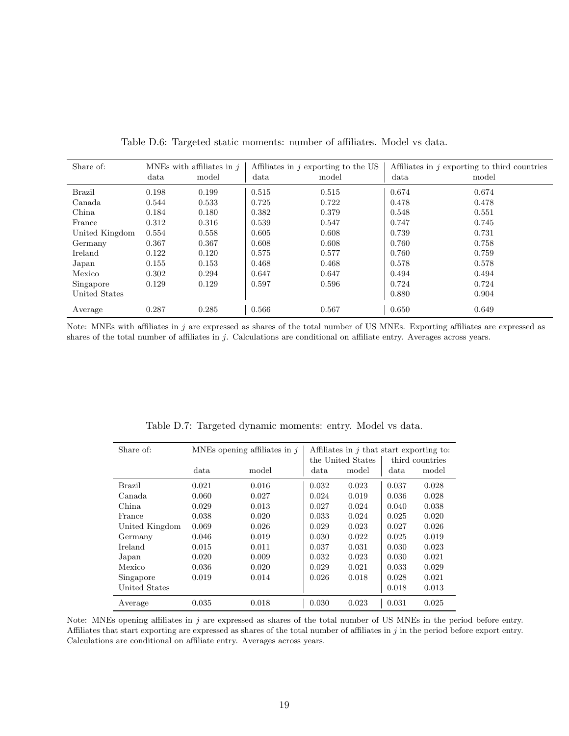| Share of:      | MNEs with affiliates in $i$ |       |       | Affiliates in $j$ exporting to the US | Affiliates in $j$ exporting to third countries |       |  |
|----------------|-----------------------------|-------|-------|---------------------------------------|------------------------------------------------|-------|--|
|                | data                        | model | data  | model                                 | data                                           | model |  |
| Brazil         | 0.198                       | 0.199 | 0.515 | 0.515                                 | 0.674                                          | 0.674 |  |
| Canada         | 0.544                       | 0.533 | 0.725 | 0.722                                 | 0.478                                          | 0.478 |  |
| China          | 0.184                       | 0.180 | 0.382 | 0.379                                 | 0.548                                          | 0.551 |  |
| France         | 0.312                       | 0.316 | 0.539 | 0.547                                 | 0.747                                          | 0.745 |  |
| United Kingdom | 0.554                       | 0.558 | 0.605 | 0.608                                 | 0.739                                          | 0.731 |  |
| Germany        | 0.367                       | 0.367 | 0.608 | 0.608                                 | 0.760                                          | 0.758 |  |
| Ireland        | 0.122                       | 0.120 | 0.575 | 0.577                                 | 0.760                                          | 0.759 |  |
| Japan          | 0.155                       | 0.153 | 0.468 | 0.468                                 | 0.578                                          | 0.578 |  |
| Mexico         | 0.302                       | 0.294 | 0.647 | 0.647                                 | 0.494                                          | 0.494 |  |
| Singapore      | 0.129                       | 0.129 | 0.597 | 0.596                                 | 0.724                                          | 0.724 |  |
| United States  |                             |       |       |                                       | 0.880                                          | 0.904 |  |
| Average        | 0.287                       | 0.285 | 0.566 | 0.567                                 | 0.650                                          | 0.649 |  |

Table D.6: Targeted static moments: number of affiliates. Model vs data.

Note: MNEs with affiliates in  $j$  are expressed as shares of the total number of US MNEs. Exporting affiliates are expressed as shares of the total number of affiliates in j. Calculations are conditional on affiliate entry. Averages across years.

| Share of:      |       | MNEs opening affiliates in $j$ | Affiliates in $j$ that start exporting to: |                   |       |                 |  |
|----------------|-------|--------------------------------|--------------------------------------------|-------------------|-------|-----------------|--|
|                |       |                                |                                            | the United States |       | third countries |  |
|                | data  | model                          | data                                       | model             | data  | model           |  |
| <b>Brazil</b>  | 0.021 | 0.016                          | 0.032                                      | 0.023             | 0.037 | 0.028           |  |
| Canada         | 0.060 | 0.027                          | 0.024                                      | 0.019             | 0.036 | 0.028           |  |
| China          | 0.029 | 0.013                          | 0.027                                      | 0.024             | 0.040 | 0.038           |  |
| France         | 0.038 | 0.020                          | 0.033                                      | 0.024             | 0.025 | 0.020           |  |
| United Kingdom | 0.069 | 0.026                          | 0.029                                      | 0.023             | 0.027 | 0.026           |  |
| Germany        | 0.046 | 0.019                          | 0.030                                      | 0.022             | 0.025 | 0.019           |  |
| Ireland        | 0.015 | 0.011                          | 0.037                                      | 0.031             | 0.030 | 0.023           |  |
| Japan          | 0.020 | 0.009                          | 0.032                                      | 0.023             | 0.030 | 0.021           |  |
| Mexico         | 0.036 | 0.020                          | 0.029                                      | 0.021             | 0.033 | 0.029           |  |
| Singapore      | 0.019 | 0.014                          | 0.026                                      | 0.018             | 0.028 | 0.021           |  |
| United States  |       |                                |                                            |                   | 0.018 | 0.013           |  |
| Average        | 0.035 | 0.018                          | 0.030                                      | 0.023             | 0.031 | 0.025           |  |

Table D.7: Targeted dynamic moments: entry. Model vs data.

Note: MNEs opening affiliates in j are expressed as shares of the total number of US MNEs in the period before entry. Affiliates that start exporting are expressed as shares of the total number of affiliates in  $j$  in the period before export entry. Calculations are conditional on affiliate entry. Averages across years.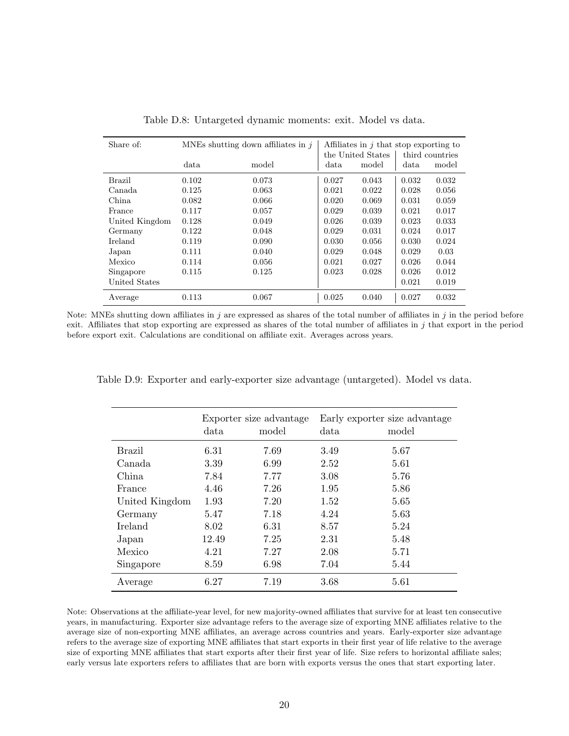| Share of:      |       | MNEs shutting down affiliates in $i$ | Affiliates in $j$ that stop exporting to |                   |                 |       |  |
|----------------|-------|--------------------------------------|------------------------------------------|-------------------|-----------------|-------|--|
|                |       |                                      |                                          | the United States | third countries |       |  |
|                | data  | model                                | data                                     | model             | data            | model |  |
| Brazil         | 0.102 | 0.073                                | 0.027                                    | 0.043             | 0.032           | 0.032 |  |
| Canada         | 0.125 | 0.063                                | 0.021                                    | 0.022             | 0.028           | 0.056 |  |
| China          | 0.082 | 0.066                                | 0.020                                    | 0.069             | 0.031           | 0.059 |  |
| France         | 0.117 | 0.057                                | 0.029                                    | 0.039             | 0.021           | 0.017 |  |
| United Kingdom | 0.128 | 0.049                                | 0.026                                    | 0.039             | 0.023           | 0.033 |  |
| Germany        | 0.122 | 0.048                                | 0.029                                    | 0.031             | 0.024           | 0.017 |  |
| Ireland        | 0.119 | 0.090                                | 0.030                                    | 0.056             | 0.030           | 0.024 |  |
| Japan          | 0.111 | 0.040                                | 0.029                                    | 0.048             | 0.029           | 0.03  |  |
| Mexico         | 0.114 | 0.056                                | 0.021                                    | 0.027             | 0.026           | 0.044 |  |
| Singapore      | 0.115 | 0.125                                | 0.023                                    | 0.028             | 0.026           | 0.012 |  |
| United States  |       |                                      |                                          |                   | 0.021           | 0.019 |  |
| Average        | 0.113 | 0.067                                | 0.025                                    | 0.040             | 0.027           | 0.032 |  |

Table D.8: Untargeted dynamic moments: exit. Model vs data.

Note: MNEs shutting down affiliates in  $j$  are expressed as shares of the total number of affiliates in  $j$  in the period before exit. Affiliates that stop exporting are expressed as shares of the total number of affiliates in j that export in the period before export exit. Calculations are conditional on affiliate exit. Averages across years.

|  |  |  | Table D.9: Exporter and early-exporter size advantage (untargeted). Model vs data. |  |  |  |  |  |
|--|--|--|------------------------------------------------------------------------------------|--|--|--|--|--|
|--|--|--|------------------------------------------------------------------------------------|--|--|--|--|--|

|                |       | Exporter size advantage |      | Early exporter size advantage |
|----------------|-------|-------------------------|------|-------------------------------|
|                | data  | model                   | data | model                         |
| Brazil         | 6.31  | 7.69                    | 3.49 | 5.67                          |
| Canada         | 3.39  | 6.99                    | 2.52 | 5.61                          |
| China          | 7.84  | 7.77                    | 3.08 | 5.76                          |
| France         | 4.46  | 7.26                    | 1.95 | 5.86                          |
| United Kingdom | 1.93  | 7.20                    | 1.52 | 5.65                          |
| Germany        | 5.47  | 7.18                    | 4.24 | 5.63                          |
| <b>Ireland</b> | 8.02  | 6.31                    | 8.57 | 5.24                          |
| Japan          | 12.49 | 7.25                    | 2.31 | 5.48                          |
| Mexico         | 4.21  | 7.27                    | 2.08 | 5.71                          |
| Singapore      | 8.59  | 6.98                    | 7.04 | 5.44                          |
| Average        | 6.27  | 7.19                    | 3.68 | 5.61                          |

Note: Observations at the affiliate-year level, for new majority-owned affiliates that survive for at least ten consecutive years, in manufacturing. Exporter size advantage refers to the average size of exporting MNE affiliates relative to the average size of non-exporting MNE affiliates, an average across countries and years. Early-exporter size advantage refers to the average size of exporting MNE affiliates that start exports in their first year of life relative to the average size of exporting MNE affiliates that start exports after their first year of life. Size refers to horizontal affiliate sales; early versus late exporters refers to affiliates that are born with exports versus the ones that start exporting later.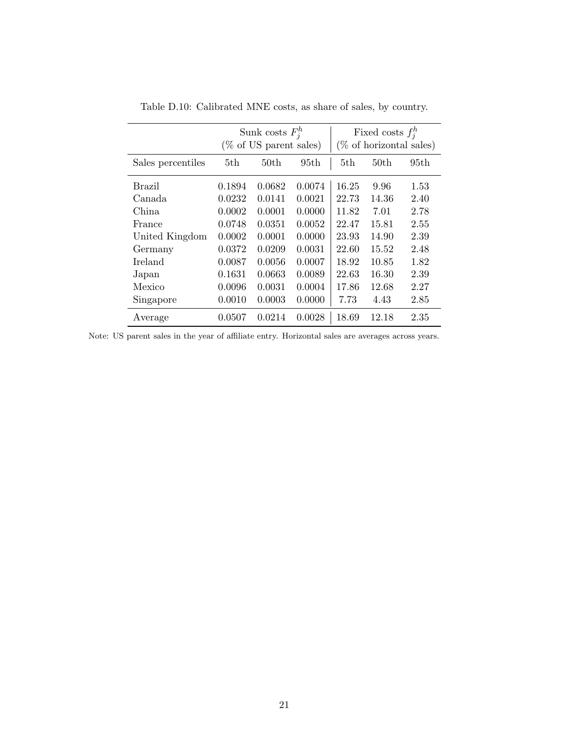|                   |        | Sunk costs $F_i^h$<br>(% of US parent sales) |        | Fixed costs $f_i^h$<br>$(\%$ of horizontal sales) |                  |      |  |
|-------------------|--------|----------------------------------------------|--------|---------------------------------------------------|------------------|------|--|
| Sales percentiles | 5th.   | 50 <sub>th</sub>                             | 95th   | 5th                                               | 50 <sub>th</sub> | 95th |  |
| Brazil            | 0.1894 | 0.0682                                       | 0.0074 | 16.25                                             | 9.96             | 1.53 |  |
| Canada.           | 0.0232 | 0.0141                                       | 0.0021 | 22.73                                             | 14.36            | 2.40 |  |
| China             | 0.0002 | 0.0001                                       | 0.0000 | 11.82                                             | 7.01             | 2.78 |  |
| France            | 0.0748 | 0.0351                                       | 0.0052 | 22.47                                             | 15.81            | 2.55 |  |
| United Kingdom    | 0.0002 | 0.0001                                       | 0.0000 | 23.93                                             | 14.90            | 2.39 |  |
| Germany           | 0.0372 | 0.0209                                       | 0.0031 | 22.60                                             | 15.52            | 2.48 |  |
| <b>Ireland</b>    | 0.0087 | 0.0056                                       | 0.0007 | 18.92                                             | 10.85            | 1.82 |  |
| Japan             | 0.1631 | 0.0663                                       | 0.0089 | 22.63                                             | 16.30            | 2.39 |  |
| Mexico            | 0.0096 | 0.0031                                       | 0.0004 | 17.86                                             | 12.68            | 2.27 |  |
| Singapore         | 0.0010 | 0.0003                                       | 0.0000 | 7.73                                              | 4.43             | 2.85 |  |
| Average           | 0.0507 | 0.0214                                       | 0.0028 | 18.69                                             | 12.18            | 2.35 |  |

Table D.10: Calibrated MNE costs, as share of sales, by country.

Note: US parent sales in the year of affiliate entry. Horizontal sales are averages across years.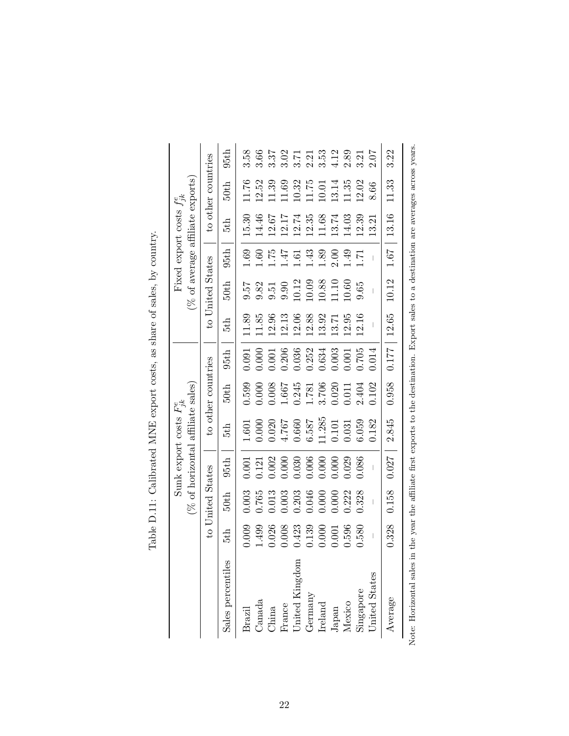|                        |                                                                                                                     |                  | $(\%$ of horizontal | Sunk export costs $F_{ik}^e$ | affiliate sales)                                                |       |       |                     |                   | (% of average affiliate exports)<br>Fixed export costs $f_{jk}^e$ |                    |                                      |
|------------------------|---------------------------------------------------------------------------------------------------------------------|------------------|---------------------|------------------------------|-----------------------------------------------------------------|-------|-------|---------------------|-------------------|-------------------------------------------------------------------|--------------------|--------------------------------------|
|                        |                                                                                                                     | to United States |                     |                              | to other countries                                              |       |       | to United States    |                   |                                                                   | to other countries |                                      |
| Sales percentiles      | 5th                                                                                                                 | 50th             | 95th                | 5th                          | 50th                                                            | 95th  | 5th   | 50th                | 95th              | 5th                                                               | 50th               | 95th                                 |
| Brazil                 | 0.009                                                                                                               | 0.003            | 0.001               | 1.601                        | 0.599                                                           | 0.091 | 11.89 | 19.6                | 0.60              | 15.30                                                             | 11.76              | 3.58                                 |
| Canada                 | 1.499                                                                                                               | 0.765            | 0.121               | 000(                         | 000.                                                            | 0.000 | 11.85 |                     | 0.61              | 14.46                                                             | 12.52              | 3.66                                 |
| China                  | 0.026                                                                                                               | 0.013            | 0.002               | 0.020                        | 0.008                                                           | 0.001 | 12.96 | $\frac{9.82}{9.51}$ | 1.75              | 12.67                                                             | 11.39              | 3.37                                 |
| France                 | 0.008                                                                                                               | 0.003            | 0.000               | 4.767                        | 1.667                                                           | 0.206 | 12.13 | $\,9.90$            | 4F.               | 12.17                                                             | 11.69              | 3.02                                 |
| United Kingdom         |                                                                                                                     |                  | 0.030               | 0.660                        |                                                                 | 0.036 | 12.06 | 10.12               | $\overline{.}6.1$ | 12.74                                                             | 10.32              |                                      |
| Germany                | 0.423<br>0.139                                                                                                      | 0.203<br>0.046   | 0.006               | 6.587                        |                                                                 | 0.252 | 12.88 | $10.09$             | 1.43              | 12.35                                                             | 11.75              |                                      |
| Ireland                |                                                                                                                     | 0.000            | 0.000               | 11.285                       | $\begin{array}{c} 0.245 \\ 1.781 \\ 3.706 \\ 0.020 \end{array}$ | 0.634 | 13.92 | $10.88\,$           | 1.89              | 11.68                                                             | 10.01              | $3.21$<br>$2.33$<br>$3.31$<br>$4.12$ |
| Japan                  | 0.000                                                                                                               | 0.000            | 0.000               | $0.101\,$                    |                                                                 | 0.003 | 13.71 | $1.10$              | 2.00              | 13.74                                                             | 13.14              |                                      |
| Mexico                 | 0.596                                                                                                               | 0.222            | 0.029               | $\!0.031$                    | 0.011                                                           | 0.001 | 12.95 | 10.60               | 65                | 14.03                                                             | 11.35              | 2.89                                 |
| Singapore              | 0.580                                                                                                               | 0.328            | 0.086               | 6.059                        | 2.404                                                           | 0.705 | 12.16 | 0.65                | $\overline{5}$    | 12.39                                                             | 12.02              | 3.21                                 |
| <b>Jnited States</b>   |                                                                                                                     |                  |                     | 0.182                        | 0.102                                                           | 0.014 |       |                     |                   | 13.21                                                             | 8.66               | 2.07                                 |
| Average                | 0.328                                                                                                               | 0.158            | 0.027               | 2.845                        | 0.958                                                           | 771   | 12.65 | 10.12               | 1.67              | 13.16                                                             | 11.33              | 3.22                                 |
| Note: Horizontal sales | in the year the affiliate first exports to the destination. Export sales to a destination are averages across years |                  |                     |                              |                                                                 |       |       |                     |                   |                                                                   |                    |                                      |

Table D.11: Calibrated MNE export costs, as share of sales, by country. Table D.11: Calibrated MNE export costs, as share of sales, by country.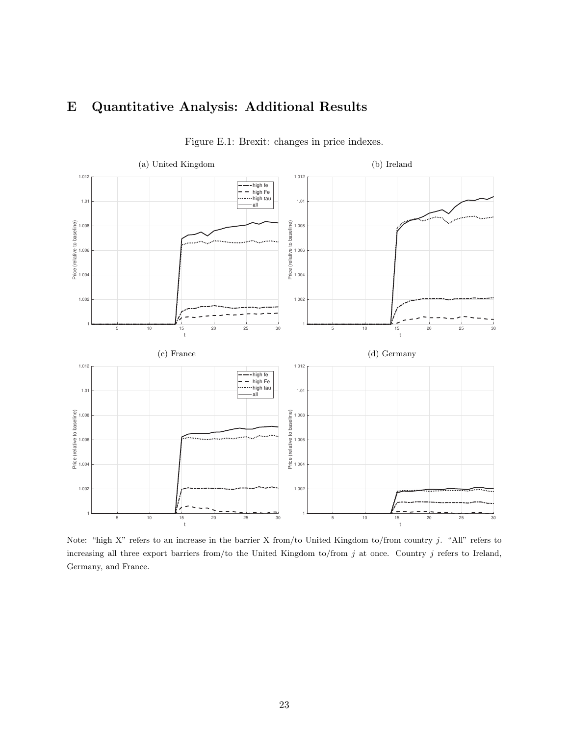## E Quantitative Analysis: Additional Results



Figure E.1: Brexit: changes in price indexes.

Note: "high X" refers to an increase in the barrier X from/to United Kingdom to/from country j. "All" refers to increasing all three export barriers from/to the United Kingdom to/from  $j$  at once. Country  $j$  refers to Ireland, Germany, and France.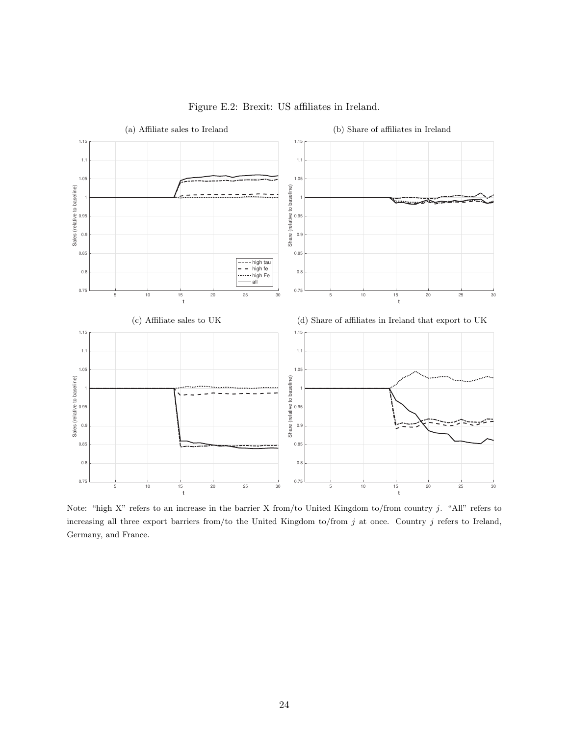

Figure E.2: Brexit: US affiliates in Ireland.

Note: "high X" refers to an increase in the barrier X from/to United Kingdom to/from country j. "All" refers to increasing all three export barriers from/to the United Kingdom to/from j at once. Country j refers to Ireland, Germany, and France.